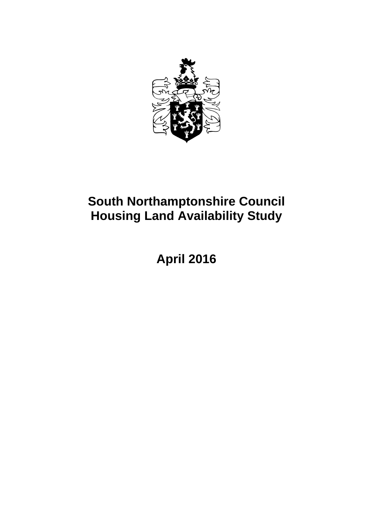

## **South Northamptonshire Council Housing Land Availability Study**

**April 2016**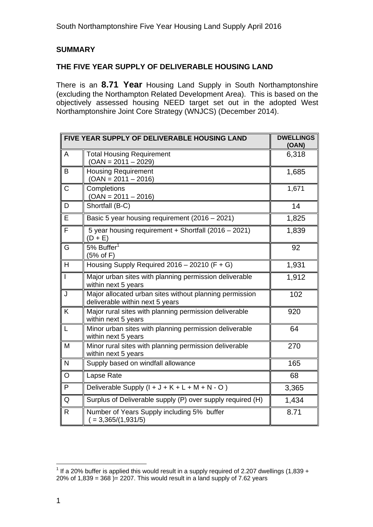#### **SUMMARY**

#### **THE FIVE YEAR SUPPLY OF DELIVERABLE HOUSING LAND**

There is an **8.71 Year** Housing Land Supply in South Northamptonshire (excluding the Northampton Related Development Area). This is based on the objectively assessed housing NEED target set out in the adopted West Northamptonshire Joint Core Strategy (WNJCS) (December 2014).

|                | FIVE YEAR SUPPLY OF DELIVERABLE HOUSING LAND                                               | <b>DWELLINGS</b><br>(OAN) |
|----------------|--------------------------------------------------------------------------------------------|---------------------------|
| A              | <b>Total Housing Requirement</b><br>$(OAN = 2011 - 2029)$                                  | 6,318                     |
| B              | <b>Housing Requirement</b><br>$(OAN = 2011 - 2016)$                                        | 1,685                     |
| C              | Completions<br>$(OAN = 2011 - 2016)$                                                       | 1,671                     |
| D              | Shortfall (B-C)                                                                            | 14                        |
| E              | Basic 5 year housing requirement (2016 - 2021)                                             | 1,825                     |
| F              | 5 year housing requirement + Shortfall (2016 - 2021)<br>$(D + E)$                          | 1,839                     |
| G              | 5% Buffer $1$<br>$(5%$ of F)                                                               | 92                        |
| H              | Housing Supply Required $2016 - 20210$ (F + G)                                             | 1,931                     |
| $\overline{1}$ | Major urban sites with planning permission deliverable<br>within next 5 years              | 1,912                     |
| J              | Major allocated urban sites without planning permission<br>deliverable within next 5 years | 102                       |
| K              | Major rural sites with planning permission deliverable<br>within next 5 years              | 920                       |
| L              | Minor urban sites with planning permission deliverable<br>within next 5 years              | 64                        |
| M              | Minor rural sites with planning permission deliverable<br>within next 5 years              | 270                       |
| N              | Supply based on windfall allowance                                                         | 165                       |
| O              | Lapse Rate                                                                                 | 68                        |
| P              | Deliverable Supply $(l + J + K + L + M + N - O)$                                           | 3,365                     |
| Q              | Surplus of Deliverable supply (P) over supply required (H)                                 | 1,434                     |
| R.             | Number of Years Supply including 5% buffer<br>$= 3,365/(1,931/5)$                          | 8.71                      |

l  $1$  If a 20% buffer is applied this would result in a supply required of 2.207 dwellings (1,839 + 20% of 1,839 = 368  $)= 2207$ . This would result in a land supply of 7.62 years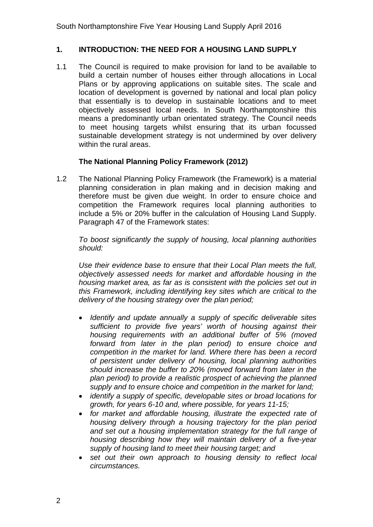#### **1. INTRODUCTION: THE NEED FOR A HOUSING LAND SUPPLY**

1.1 The Council is required to make provision for land to be available to build a certain number of houses either through allocations in Local Plans or by approving applications on suitable sites. The scale and location of development is governed by national and local plan policy that essentially is to develop in sustainable locations and to meet objectively assessed local needs. In South Northamptonshire this means a predominantly urban orientated strategy. The Council needs to meet housing targets whilst ensuring that its urban focussed sustainable development strategy is not undermined by over delivery within the rural areas.

#### **The National Planning Policy Framework (2012)**

1.2 The National Planning Policy Framework (the Framework) is a material planning consideration in plan making and in decision making and therefore must be given due weight. In order to ensure choice and competition the Framework requires local planning authorities to include a 5% or 20% buffer in the calculation of Housing Land Supply. Paragraph 47 of the Framework states:

*To boost significantly the supply of housing, local planning authorities should:* 

*Use their evidence base to ensure that their Local Plan meets the full, objectively assessed needs for market and affordable housing in the housing market area, as far as is consistent with the policies set out in this Framework, including identifying key sites which are critical to the delivery of the housing strategy over the plan period;* 

- *Identify and update annually a supply of specific deliverable sites sufficient to provide five years' worth of housing against their housing requirements with an additional buffer of 5% (moved forward from later in the plan period) to ensure choice and competition in the market for land. Where there has been a record of persistent under delivery of housing, local planning authorities should increase the buffer to 20% (moved forward from later in the plan period) to provide a realistic prospect of achieving the planned supply and to ensure choice and competition in the market for land;*
- *identify a supply of specific, developable sites or broad locations for growth, for years 6-10 and, where possible, for years 11-15;*
- *for market and affordable housing, illustrate the expected rate of housing delivery through a housing trajectory for the plan period and set out a housing implementation strategy for the full range of housing describing how they will maintain delivery of a five-year supply of housing land to meet their housing target; and*
- *set out their own approach to housing density to reflect local circumstances.*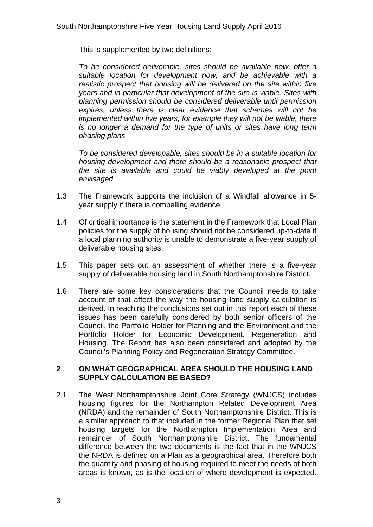This is supplemented by two definitions:

*To be considered deliverable, sites should be available now, offer a suitable location for development now, and be achievable with a realistic prospect that housing will be delivered on the site within five years and in particular that development of the site is viable. Sites with planning permission should be considered deliverable until permission expires, unless there is clear evidence that schemes will not be implemented within five years, for example they will not be viable, there is no longer a demand for the type of units or sites have long term phasing plans.* 

*To be considered developable, sites should be in a suitable location for housing development and there should be a reasonable prospect that the site is available and could be viably developed at the point envisaged.* 

- 1.3 The Framework supports the inclusion of a Windfall allowance in 5 year supply if there is compelling evidence.
- 1.4 Of critical importance is the statement in the Framework that Local Plan policies for the supply of housing should not be considered up-to-date if a local planning authority is unable to demonstrate a five-year supply of deliverable housing sites.
- 1.5 This paper sets out an assessment of whether there is a five-year supply of deliverable housing land in South Northamptonshire District.
- 1.6 There are some key considerations that the Council needs to take account of that affect the way the housing land supply calculation is derived. In reaching the conclusions set out in this report each of these issues has been carefully considered by both senior officers of the Council, the Portfolio Holder for Planning and the Environment and the Portfolio Holder for Economic Development, Regeneration and Housing. The Report has also been considered and adopted by the Council's Planning Policy and Regeneration Strategy Committee.

#### **2 ON WHAT GEOGRAPHICAL AREA SHOULD THE HOUSING LAND SUPPLY CALCULATION BE BASED?**

2.1 The West Northamptonshire Joint Core Strategy (WNJCS) includes housing figures for the Northampton Related Development Area (NRDA) and the remainder of South Northamptonshire District. This is a similar approach to that included in the former Regional Plan that set housing targets for the Northampton Implementation Area and remainder of South Northamptonshire District. The fundamental difference between the two documents is the fact that in the WNJCS the NRDA is defined on a Plan as a geographical area. Therefore both the quantity and phasing of housing required to meet the needs of both areas is known, as is the location of where development is expected.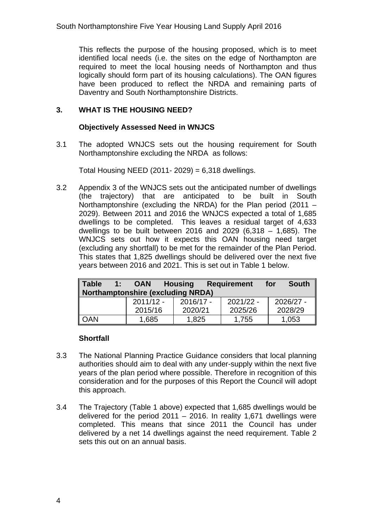This reflects the purpose of the housing proposed, which is to meet identified local needs (i.e. the sites on the edge of Northampton are required to meet the local housing needs of Northampton and thus logically should form part of its housing calculations). The OAN figures have been produced to reflect the NRDA and remaining parts of Daventry and South Northamptonshire Districts.

#### **3. WHAT IS THE HOUSING NEED?**

#### **Objectively Assessed Need in WNJCS**

3.1 The adopted WNJCS sets out the housing requirement for South Northamptonshire excluding the NRDA as follows:

Total Housing NEED (2011- 2029) =  $6,318$  dwellings.

3.2 Appendix 3 of the WNJCS sets out the anticipated number of dwellings (the trajectory) that are anticipated to be built in South Northamptonshire (excluding the NRDA) for the Plan period (2011 – 2029). Between 2011 and 2016 the WNJCS expected a total of 1,685 dwellings to be completed. This leaves a residual target of 4,633 dwellings to be built between 2016 and 2029 (6,318 – 1,685). The WNJCS sets out how it expects this OAN housing need target (excluding any shortfall) to be met for the remainder of the Plan Period. This states that 1,825 dwellings should be delivered over the next five years between 2016 and 2021. This is set out in Table 1 below.

| <b>Table</b><br><b>Requirement</b><br>1:<br><b>Housing</b><br><b>OAN</b><br><b>Northamptonshire (excluding NRDA)</b> |             |             | <b>South</b><br>for |           |
|----------------------------------------------------------------------------------------------------------------------|-------------|-------------|---------------------|-----------|
|                                                                                                                      | $2011/12 -$ | $2016/17 -$ | $2021/22 -$         | 2026/27 - |
|                                                                                                                      | 2015/16     | 2020/21     | 2025/26             | 2028/29   |
| <b>OAN</b>                                                                                                           | 1,685       | 1,825       | 1,755               | 1,053     |

#### **Shortfall**

- 3.3 The National Planning Practice Guidance considers that local planning authorities should aim to deal with any under-supply within the next five years of the plan period where possible. Therefore in recognition of this consideration and for the purposes of this Report the Council will adopt this approach.
- 3.4 The Trajectory (Table 1 above) expected that 1,685 dwellings would be delivered for the period  $2011 - 2016$ . In reality 1,671 dwellings were completed. This means that since 2011 the Council has under delivered by a net 14 dwellings against the need requirement. Table 2 sets this out on an annual basis.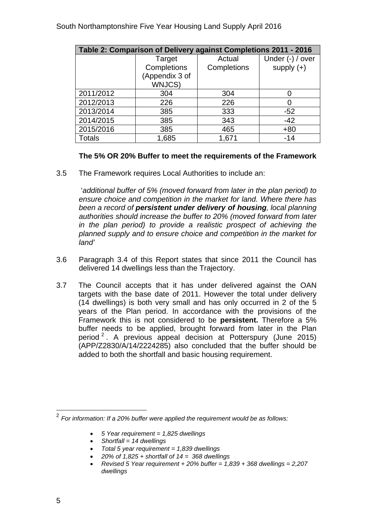| Table 2: Comparison of Delivery against Completions 2011 - 2016 |                |             |                  |  |  |  |
|-----------------------------------------------------------------|----------------|-------------|------------------|--|--|--|
|                                                                 | Target         | Actual      | Under (-) / over |  |  |  |
|                                                                 | Completions    | Completions | supply $(+)$     |  |  |  |
|                                                                 | (Appendix 3 of |             |                  |  |  |  |
|                                                                 | WNJCS)         |             |                  |  |  |  |
| 2011/2012                                                       | 304            | 304         |                  |  |  |  |
| 2012/2013                                                       | 226            | 226         |                  |  |  |  |
| 2013/2014                                                       | 385            | 333         | $-52$            |  |  |  |
| 2014/2015                                                       | 385            | 343         | $-42$            |  |  |  |
| 2015/2016                                                       | 385            | 465         | $+80$            |  |  |  |
| <b>Totals</b>                                                   | 1,685          | 1,671       | $-14$            |  |  |  |

#### **The 5% OR 20% Buffer to meet the requirements of the Framework**

3.5 The Framework requires Local Authorities to include an:

 '*additional buffer of 5% (moved forward from later in the plan period) to ensure choice and competition in the market for land. Where there has been a record of persistent under delivery of housing, local planning authorities should increase the buffer to 20% (moved forward from later in the plan period) to provide a realistic prospect of achieving the planned supply and to ensure choice and competition in the market for land'* 

- 3.6 Paragraph 3.4 of this Report states that since 2011 the Council has delivered 14 dwellings less than the Trajectory.
- 3.7 The Council accepts that it has under delivered against the OAN targets with the base date of 2011. However the total under delivery (14 dwellings) is both very small and has only occurred in 2 of the 5 years of the Plan period. In accordance with the provisions of the Framework this is not considered to be **persistent.** Therefore a 5% buffer needs to be applied, brought forward from later in the Plan period  $2$ . A previous appeal decision at Potterspury (June 2015) (APP/Z2830/A/14/2224285) also concluded that the buffer should be added to both the shortfall and basic housing requirement.

- *5 Year requirement = 1,825 dwellings*
- *Shortfall = 14 dwellings*
- *Total 5 year requirement = 1,839 dwellings*
- *20% of 1,825 + shortfall of 14 = 368 dwellings*
- *Revised 5 Year requirement + 20% buffer = 1,839 + 368 dwellings = 2,207 dwellings*

l

<sup>2</sup>*For information: If a 20% buffer were applied the requirement would be as follows:*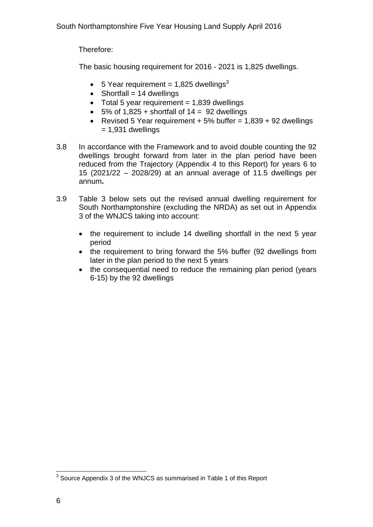Therefore:

The basic housing requirement for 2016 - 2021 is 1,825 dwellings.

- 5 Year requirement = 1,825 dwellings<sup>3</sup>
- $\bullet$  Shortfall = 14 dwellings
- $\bullet$  Total 5 year requirement = 1,839 dwellings
- $\bullet$  5% of 1,825 + shortfall of 14 = 92 dwellings
- Revised 5 Year requirement  $+ 5%$  buffer = 1,839  $+ 92$  dwellings  $= 1,931$  dwellings
- 3.8 In accordance with the Framework and to avoid double counting the 92 dwellings brought forward from later in the plan period have been reduced from the Trajectory (Appendix 4 to this Report) for years 6 to 15 (2021/22 – 2028/29) at an annual average of 11.5 dwellings per annum**.**
- 3.9 Table 3 below sets out the revised annual dwelling requirement for South Northamptonshire (excluding the NRDA) as set out in Appendix 3 of the WNJCS taking into account:
	- the requirement to include 14 dwelling shortfall in the next 5 year period
	- the requirement to bring forward the 5% buffer (92 dwellings from later in the plan period to the next 5 years
	- the consequential need to reduce the remaining plan period (years 6-15) by the 92 dwellings

 3 Source Appendix 3 of the WNJCS as summarised in Table 1 of this Report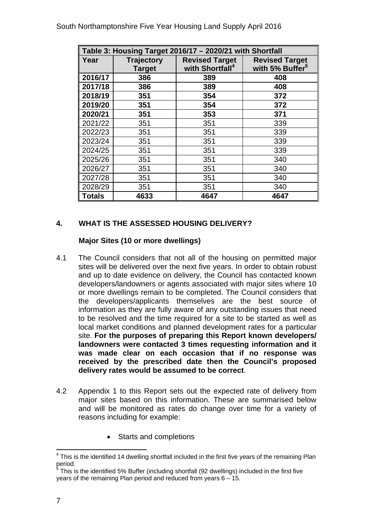|               | Table 3: Housing Target 2016/17 - 2020/21 with Shortfall |                                                      |                                                      |  |  |  |  |
|---------------|----------------------------------------------------------|------------------------------------------------------|------------------------------------------------------|--|--|--|--|
| Year          | <b>Trajectory</b><br><b>Target</b>                       | <b>Revised Target</b><br>with Shortfall <sup>4</sup> | <b>Revised Target</b><br>with 5% Buffer <sup>5</sup> |  |  |  |  |
| 2016/17       | 386                                                      | 389                                                  | 408                                                  |  |  |  |  |
| 2017/18       | 386                                                      | 389                                                  | 408                                                  |  |  |  |  |
| 2018/19       | 351                                                      | 354                                                  | 372                                                  |  |  |  |  |
| 2019/20       | 351                                                      | 354                                                  | 372                                                  |  |  |  |  |
| 2020/21       | 351                                                      | 353                                                  | 371                                                  |  |  |  |  |
| 2021/22       | 351                                                      | 351                                                  | 339                                                  |  |  |  |  |
| 2022/23       | 351                                                      | 351                                                  | 339                                                  |  |  |  |  |
| 2023/24       | 351                                                      | 351                                                  | 339                                                  |  |  |  |  |
| 2024/25       | 351                                                      | 351                                                  | 339                                                  |  |  |  |  |
| 2025/26       | 351                                                      | 351                                                  | 340                                                  |  |  |  |  |
| 2026/27       | 351                                                      | 351                                                  | 340                                                  |  |  |  |  |
| 2027/28       | 351                                                      | 351                                                  | 340                                                  |  |  |  |  |
| 2028/29       | 351                                                      | 351                                                  | 340                                                  |  |  |  |  |
| <b>Totals</b> | 4633                                                     | 4647                                                 | 4647                                                 |  |  |  |  |

#### **4. WHAT IS THE ASSESSED HOUSING DELIVERY?**

#### **Major Sites (10 or more dwellings)**

- 4.1 The Council considers that not all of the housing on permitted major sites will be delivered over the next five years. In order to obtain robust and up to date evidence on delivery, the Council has contacted known developers/landowners or agents associated with major sites where 10 or more dwellings remain to be completed. The Council considers that the developers/applicants themselves are the best source of information as they are fully aware of any outstanding issues that need to be resolved and the time required for a site to be started as well as local market conditions and planned development rates for a particular site. **For the purposes of preparing this Report known developers/ landowners were contacted 3 times requesting information and it was made clear on each occasion that if no response was received by the prescribed date then the Council's proposed delivery rates would be assumed to be correct**.
- 4.2 Appendix 1 to this Report sets out the expected rate of delivery from major sites based on this information. These are summarised below and will be monitored as rates do change over time for a variety of reasons including for example:
	- Starts and completions

l

 $4$  This is the identified 14 dwelling shortfall included in the first five years of the remaining Plan period.<br><sup>5</sup> Thie is

This is the identified 5% Buffer (including shortfall (92 dwellings) included in the first five years of the remaining Plan period and reduced from years 6 – 15.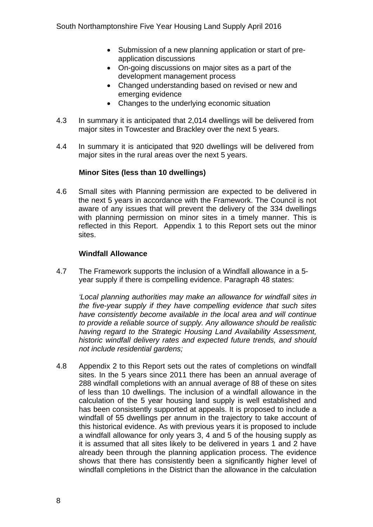- Submission of a new planning application or start of preapplication discussions
- On-going discussions on major sites as a part of the development management process
- Changed understanding based on revised or new and emerging evidence
- Changes to the underlying economic situation
- 4.3 In summary it is anticipated that 2,014 dwellings will be delivered from major sites in Towcester and Brackley over the next 5 years.
- 4.4 In summary it is anticipated that 920 dwellings will be delivered from major sites in the rural areas over the next 5 years.

#### **Minor Sites (less than 10 dwellings)**

4.6 Small sites with Planning permission are expected to be delivered in the next 5 years in accordance with the Framework. The Council is not aware of any issues that will prevent the delivery of the 334 dwellings with planning permission on minor sites in a timely manner. This is reflected in this Report. Appendix 1 to this Report sets out the minor sites.

#### **Windfall Allowance**

4.7 The Framework supports the inclusion of a Windfall allowance in a 5 year supply if there is compelling evidence. Paragraph 48 states:

*'Local planning authorities may make an allowance for windfall sites in the five-year supply if they have compelling evidence that such sites have consistently become available in the local area and will continue to provide a reliable source of supply. Any allowance should be realistic having regard to the Strategic Housing Land Availability Assessment, historic windfall delivery rates and expected future trends, and should not include residential gardens;* 

4.8 Appendix 2 to this Report sets out the rates of completions on windfall sites. In the 5 years since 2011 there has been an annual average of 288 windfall completions with an annual average of 88 of these on sites of less than 10 dwellings. The inclusion of a windfall allowance in the calculation of the 5 year housing land supply is well established and has been consistently supported at appeals. It is proposed to include a windfall of 55 dwellings per annum in the trajectory to take account of this historical evidence. As with previous years it is proposed to include a windfall allowance for only years 3, 4 and 5 of the housing supply as it is assumed that all sites likely to be delivered in years 1 and 2 have already been through the planning application process. The evidence shows that there has consistently been a significantly higher level of windfall completions in the District than the allowance in the calculation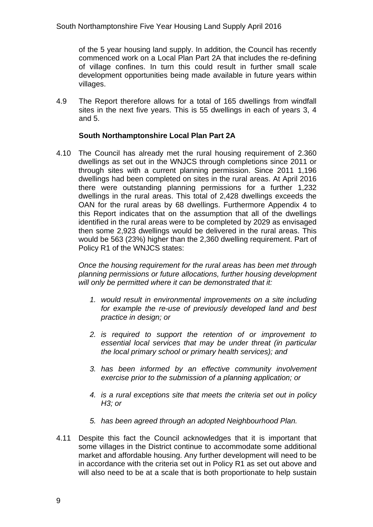of the 5 year housing land supply. In addition, the Council has recently commenced work on a Local Plan Part 2A that includes the re-defining of village confines. In turn this could result in further small scale development opportunities being made available in future years within villages.

4.9 The Report therefore allows for a total of 165 dwellings from windfall sites in the next five years. This is 55 dwellings in each of years 3, 4 and 5.

#### **South Northamptonshire Local Plan Part 2A**

4.10 The Council has already met the rural housing requirement of 2.360 dwellings as set out in the WNJCS through completions since 2011 or through sites with a current planning permission. Since 2011 1,196 dwellings had been completed on sites in the rural areas. At April 2016 there were outstanding planning permissions for a further 1,232 dwellings in the rural areas. This total of 2,428 dwellings exceeds the OAN for the rural areas by 68 dwellings. Furthermore Appendix 4 to this Report indicates that on the assumption that all of the dwellings identified in the rural areas were to be completed by 2029 as envisaged then some 2,923 dwellings would be delivered in the rural areas. This would be 563 (23%) higher than the 2,360 dwelling requirement. Part of Policy R1 of the WNJCS states:

*Once the housing requirement for the rural areas has been met through planning permissions or future allocations, further housing development will only be permitted where it can be demonstrated that it:* 

- *1. would result in environmental improvements on a site including for example the re-use of previously developed land and best practice in design; or*
- *2. is required to support the retention of or improvement to essential local services that may be under threat (in particular the local primary school or primary health services); and*
- *3. has been informed by an effective community involvement exercise prior to the submission of a planning application; or*
- *4. is a rural exceptions site that meets the criteria set out in policy H3; or*
- *5. has been agreed through an adopted Neighbourhood Plan.*
- 4.11 Despite this fact the Council acknowledges that it is important that some villages in the District continue to accommodate some additional market and affordable housing. Any further development will need to be in accordance with the criteria set out in Policy R1 as set out above and will also need to be at a scale that is both proportionate to help sustain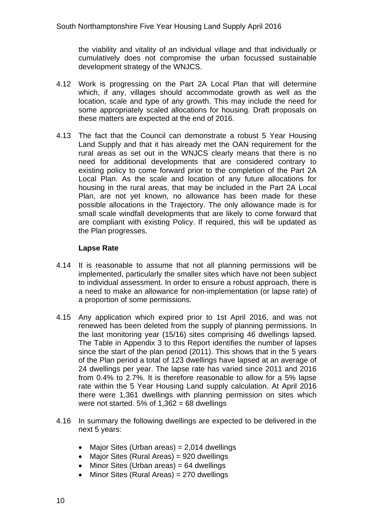the viability and vitality of an individual village and that individually or cumulatively does not compromise the urban focussed sustainable development strategy of the WNJCS.

- 4.12 Work is progressing on the Part 2A Local Plan that will determine which, if any, villages should accommodate growth as well as the location, scale and type of any growth. This may include the need for some appropriately scaled allocations for housing. Draft proposals on these matters are expected at the end of 2016.
- 4.13 The fact that the Council can demonstrate a robust 5 Year Housing Land Supply and that it has already met the OAN requirement for the rural areas as set out in the WNJCS clearly means that there is no need for additional developments that are considered contrary to existing policy to come forward prior to the completion of the Part 2A Local Plan. As the scale and location of any future allocations for housing in the rural areas, that may be included in the Part 2A Local Plan, are not yet known, no allowance has been made for these possible allocations in the Trajectory. The only allowance made is for small scale windfall developments that are likely to come forward that are compliant with existing Policy. If required, this will be updated as the Plan progresses.

#### **Lapse Rate**

- 4.14 It is reasonable to assume that not all planning permissions will be implemented, particularly the smaller sites which have not been subject to individual assessment. In order to ensure a robust approach, there is a need to make an allowance for non-implementation (or lapse rate) of a proportion of some permissions.
- the last monitoring year (15/16) sites comprising 46 dwellings lapsed. 4.15 Any application which expired prior to 1st April 2016, and was not renewed has been deleted from the supply of planning permissions. In The Table in Appendix 3 to this Report identifies the number of lapses since the start of the plan period (2011). This shows that in the 5 years of the Plan period a total of 123 dwellings have lapsed at an average of 24 dwellings per year. The lapse rate has varied since 2011 and 2016 from 0.4% to 2.7%. It is therefore reasonable to allow for a 5% lapse rate within the 5 Year Housing Land supply calculation. At April 2016 there were 1,361 dwellings with planning permission on sites which were not started. 5% of  $1,362 = 68$  dwellings
- 4.16 In summary the following dwellings are expected to be delivered in the next 5 years:
	- Major Sites (Urban areas) =  $2,014$  dwellings
	- Major Sites (Rural Areas) = 920 dwellings
	- Minor Sites (Urban areas) = 64 dwellings
	- Minor Sites (Rural Areas) = 270 dwellings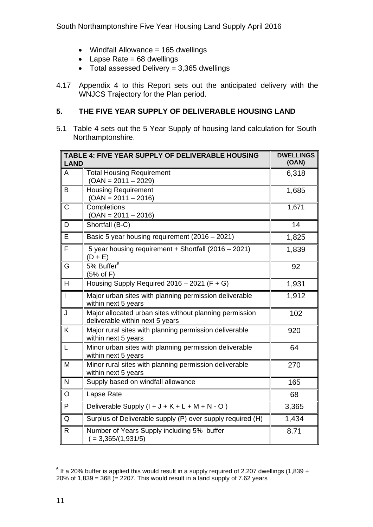South Northamptonshire Five Year Housing Land Supply April 2016

- $\bullet$  Windfall Allowance = 165 dwellings
- $\triangle$  Lapse Rate = 68 dwellings
- $\bullet$  Total assessed Delivery = 3,365 dwellings
- 4.17 Appendix 4 to this Report sets out the anticipated delivery with the WNJCS Trajectory for the Plan period.

#### **5. THE FIVE YEAR SUPPLY OF DELIVERABLE HOUSING LAND**

5.1 Table 4 sets out the 5 Year Supply of housing land calculation for South Northamptonshire.

| <b>LAND</b>    | TABLE 4: FIVE YEAR SUPPLY OF DELIVERABLE HOUSING                                           | <b>DWELLINGS</b><br>(OAN) |
|----------------|--------------------------------------------------------------------------------------------|---------------------------|
| A              | <b>Total Housing Requirement</b><br>$(OAN = 2011 - 2029)$                                  | 6,318                     |
| B              | <b>Housing Requirement</b><br>$(OAN = 2011 - 2016)$                                        | 1,685                     |
| C              | Completions<br>$(OAN = 2011 - 2016)$                                                       | 1,671                     |
| D              | Shortfall (B-C)                                                                            | 14                        |
| E              | Basic 5 year housing requirement (2016 - 2021)                                             | 1,825                     |
| F              | 5 year housing requirement + Shortfall (2016 - 2021)<br>$(D + E)$                          | 1,839                     |
| G              | 5% Buffer <sup>6</sup><br>(5% of F)                                                        | 92                        |
| H              | Housing Supply Required $2016 - 2021$ (F + G)                                              | 1,931                     |
| $\overline{1}$ | Major urban sites with planning permission deliverable<br>within next 5 years              | 1,912                     |
| J              | Major allocated urban sites without planning permission<br>deliverable within next 5 years | 102                       |
| K              | Major rural sites with planning permission deliverable<br>within next 5 years              | 920                       |
| L              | Minor urban sites with planning permission deliverable<br>within next 5 years              | 64                        |
| M              | Minor rural sites with planning permission deliverable<br>within next 5 years              | 270                       |
| N              | Supply based on windfall allowance                                                         | 165                       |
| $\circ$        | Lapse Rate                                                                                 | 68                        |
| P              | Deliverable Supply $(l + J + K + L + M + N - O)$                                           | 3,365                     |
| Q              | Surplus of Deliverable supply (P) over supply required (H)                                 | 1,434                     |
| R.             | Number of Years Supply including 5% buffer<br>$( = 3,365/(1,931/5)$                        | 8.71                      |

 6 If a 20% buffer is applied this would result in a supply required of 2.207 dwellings (1,839 + 20% of  $1,839 = 368$  = 2207. This would result in a land supply of 7.62 years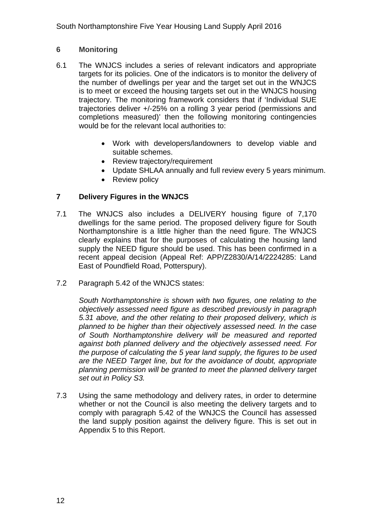#### **6 Monitoring**

- 6.1 The WNJCS includes a series of relevant indicators and appropriate targets for its policies. One of the indicators is to monitor the delivery of the number of dwellings per year and the target set out in the WNJCS is to meet or exceed the housing targets set out in the WNJCS housing trajectory. The monitoring framework considers that if 'Individual SUE trajectories deliver +/-25% on a rolling 3 year period (permissions and completions measured)' then the following monitoring contingencies would be for the relevant local authorities to:
	- Work with developers/landowners to develop viable and suitable schemes.
	- Review trajectory/requirement
	- Update SHLAA annually and full review every 5 years minimum.
	- Review policy

#### **7 Delivery Figures in the WNJCS**

- 7.1 The WNJCS also includes a DELIVERY housing figure of 7,170 dwellings for the same period. The proposed delivery figure for South Northamptonshire is a little higher than the need figure. The WNJCS clearly explains that for the purposes of calculating the housing land supply the NEED figure should be used. This has been confirmed in a recent appeal decision (Appeal Ref: APP/Z2830/A/14/2224285: Land East of Poundfield Road, Potterspury).
- 7.2 Paragraph 5.42 of the WNJCS states:

*South Northamptonshire is shown with two figures, one relating to the objectively assessed need figure as described previously in paragraph 5.31 above, and the other relating to their proposed delivery, which is planned to be higher than their objectively assessed need. In the case of South Northamptonshire delivery will be measured and reported against both planned delivery and the objectively assessed need. For the purpose of calculating the 5 year land supply, the figures to be used are the NEED Target line, but for the avoidance of doubt, appropriate planning permission will be granted to meet the planned delivery target set out in Policy S3.* 

7.3 Using the same methodology and delivery rates, in order to determine whether or not the Council is also meeting the delivery targets and to comply with paragraph 5.42 of the WNJCS the Council has assessed the land supply position against the delivery figure. This is set out in Appendix 5 to this Report.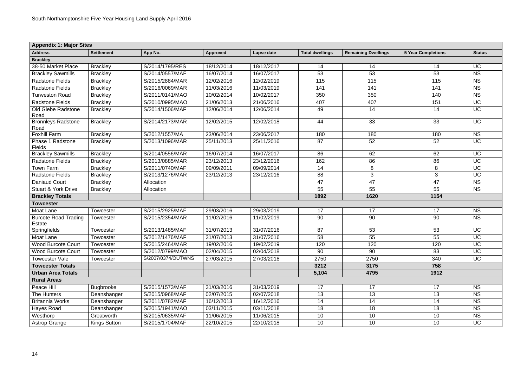| <b>Appendix 1: Major Sites</b>        |                   |                    |            |            |                        |                            |                           |               |
|---------------------------------------|-------------------|--------------------|------------|------------|------------------------|----------------------------|---------------------------|---------------|
| <b>Address</b>                        | <b>Settlement</b> | App No.            | Approved   | Lapse date | <b>Total dwellings</b> | <b>Remaining Dwellings</b> | <b>5 Year Completions</b> | <b>Status</b> |
| <b>Brackley</b>                       |                   |                    |            |            |                        |                            |                           |               |
| 38-50 Market Place                    | <b>Brackley</b>   | S/2014/1795/RES    | 18/12/2014 | 18/12/2017 | 14                     | 14                         | 14                        | UC            |
| <b>Brackley Sawmills</b>              | <b>Brackley</b>   | S/2014/0557/MAF    | 16/07/2014 | 16/07/2017 | 53                     | 53                         | 53                        | <b>NS</b>     |
| <b>Radstone Fields</b>                | <b>Brackley</b>   | S/2015/2884/MAR    | 12/02/2016 | 12/02/2019 | 115                    | 115                        | 115                       | <b>NS</b>     |
| <b>Radstone Fields</b>                | <b>Brackley</b>   | S/2016/0069/MAR    | 11/03/2016 | 11/03/2019 | 141                    | 141                        | 141                       | <b>NS</b>     |
| <b>Turweston Road</b>                 | <b>Brackley</b>   | S/2011/0141/MAO    | 10/02/2014 | 10/02/2017 | 350                    | 350                        | 140                       | <b>NS</b>     |
| <b>Radstone Fields</b>                | <b>Brackley</b>   | S/2010/0995/MAO    | 21/06/2013 | 21/06/2016 | 407                    | 407                        | 151                       | UC            |
| <b>Old Glebe Radstone</b><br>Road     | <b>Brackley</b>   | S/2014/1506/MAF    | 12/06/2014 | 12/06/2014 | 49                     | 14                         | 14                        | <b>UC</b>     |
| <b>Bronnleys Radstone</b><br>Road     | <b>Brackley</b>   | S/2014/2173/MAR    | 12/02/2015 | 12/02/2018 | 44                     | 33                         | 33                        | <b>UC</b>     |
| <b>Foxhill Farm</b>                   | <b>Brackley</b>   | S/2012/1557/MA     | 23/06/2014 | 23/06/2017 | 180                    | 180                        | 180                       | <b>NS</b>     |
| Phase 1 Radstone<br>Fields            | <b>Brackley</b>   | S/2013/1096/MAR    | 25/11/2013 | 25/11/2016 | 87                     | 52                         | 52                        | <b>UC</b>     |
| <b>Brackley Sawmills</b>              | <b>Brackley</b>   | S/2014/0556/MAR    | 16/07/2014 | 16/07/2017 | 86                     | 62                         | 62                        | <b>UC</b>     |
| <b>Radstone Fields</b>                | <b>Brackley</b>   | S/2013/0885/MAR    | 23/12/2013 | 23/12/2016 | 162                    | 86                         | 86                        | <b>UC</b>     |
| <b>Town Farm</b>                      | <b>Brackley</b>   | S/2011/0740/MAF    | 09/09/2011 | 09/09/2014 | 14                     | $8\phantom{1}$             | 8                         | <b>UC</b>     |
| <b>Radstone Fields</b>                | <b>Brackley</b>   | S/2013/1276/MAR    | 23/12/2013 | 23/12/2016 | 88                     | $\mathbf{3}$               | 3                         | <b>UC</b>     |
| Daniaud Court                         | <b>Brackley</b>   | Allocation         |            |            | 47                     | 47                         | 47                        | <b>NS</b>     |
| <b>Stuart &amp; York Drive</b>        | <b>Brackley</b>   | Allocation         |            |            | 55                     | 55                         | 55                        | <b>NS</b>     |
| <b>Brackley Totals</b>                |                   |                    |            |            | 1892                   | 1620                       | 1154                      |               |
| <b>Towcester</b>                      |                   |                    |            |            |                        |                            |                           |               |
| <b>Moat Lane</b>                      | Towcester         | S/2015/2925/MAF    | 29/03/2016 | 29/03/2019 | 17                     | 17                         | 17                        | <b>NS</b>     |
| <b>Burcote Road Trading</b><br>Estate | Towcester         | S/2015/2354/MAR    | 11/02/2016 | 11/02/2019 | 90                     | 90                         | 90                        | <b>NS</b>     |
| Springfields                          | Towcester         | S/2013/1485/MAF    | 31/07/2013 | 31/07/2016 | 87                     | 53                         | 53                        | <b>UC</b>     |
| <b>Moat Lane</b>                      | Towcester         | S/2012/1476/MAF    | 31/07/2013 | 31/07/2016 | 58                     | 55                         | 55                        | <b>UC</b>     |
| <b>Wood Burcote Court</b>             | Towcester         | S/2015/2464/MAR    | 19/02/2016 | 19/02/2019 | 120                    | 120                        | 120                       | <b>UC</b>     |
| <b>Wood Burcote Court</b>             | <b>Towcester</b>  | S/2012/0799/MAO    | 02/04/2015 | 02/04/2018 | 90                     | 90                         | 83                        | <b>UC</b>     |
| <b>Towcester Vale</b>                 | Towcester         | S/2007/0374/OUTWNS | 27/03/2015 | 27/03/2018 | 2750                   | 2750                       | 340                       | <b>UC</b>     |
| <b>Towcester Totals</b>               |                   |                    |            |            | 3212                   | 3175                       | 758                       |               |
| <b>Urban Area Totals</b>              |                   |                    |            |            | 5,104                  | 4795                       | 1912                      |               |
| <b>Rural Areas</b>                    |                   |                    |            |            |                        |                            |                           |               |
| Peace Hill                            | <b>Bugbrooke</b>  | S/2015/1573/MAF    | 31/03/2016 | 31/03/2019 | 17                     | 17                         | 17                        | <b>NS</b>     |
| The Hunters                           | Deanshanger       | S/2015/0968/MAF    | 02/07/2015 | 02/07/2018 | 13                     | 13                         | 13                        | <b>NS</b>     |
| <b>Britannia Works</b>                | Deanshanger       | S/2011/0782/MAF    | 16/12/2013 | 16/12/2016 | 14                     | 14                         | 14                        | <b>NS</b>     |
| Hayes Road                            | Deanshanger       | S/2015/1941/MAO    | 03/11/2015 | 03/11/2018 | 18                     | 18                         | 18                        | <b>NS</b>     |
| Westhorp                              | Greatworth        | S/2015/0635/MAF    | 11/06/2015 | 11/06/2015 | 10                     | 10                         | 10                        | <b>NS</b>     |
| <b>Astrop Grange</b>                  | Kings Sutton      | S/2015/1704/MAF    | 22/10/2015 | 22/10/2018 | 10                     | 10                         | 10                        | UC            |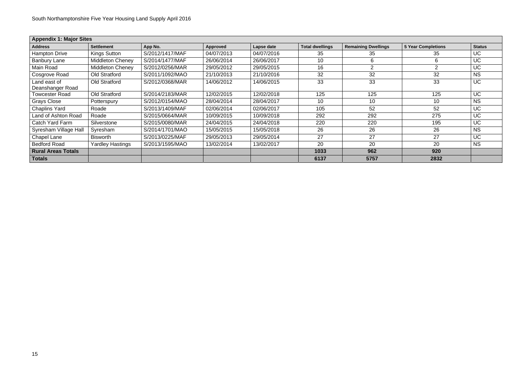| <b>Appendix 1: Major Sites</b>   |                         |                 |            |            |                        |                            |                           |               |  |
|----------------------------------|-------------------------|-----------------|------------|------------|------------------------|----------------------------|---------------------------|---------------|--|
| <b>Address</b>                   | <b>Settlement</b>       | App No.         | Approved   | Lapse date | <b>Total dwellings</b> | <b>Remaining Dwellings</b> | <b>5 Year Completions</b> | <b>Status</b> |  |
| <b>Hampton Drive</b>             | <b>Kings Sutton</b>     | S/2012/1417/MAF | 04/07/2013 | 04/07/2016 | 35                     | 35                         | 35                        | UC            |  |
| <b>Banbury Lane</b>              | <b>Middleton Cheney</b> | S/2014/1477/MAF | 26/06/2014 | 26/06/2017 | 10                     | 6                          | 6                         | <b>UC</b>     |  |
| Main Road                        | <b>Middleton Cheney</b> | S/2012/0256/MAR | 29/05/2012 | 29/05/2015 | 16                     | $\overline{2}$             | $\overline{2}$            | <b>UC</b>     |  |
| <b>Cosgrove Road</b>             | Old Stratford           | S/2011/1092/MAO | 21/10/2013 | 21/10/2016 | 32                     | 32                         | 32                        | <b>NS</b>     |  |
| Land east of<br>Deanshanger Road | Old Stratford           | S/2012/0368/MAR | 14/06/2012 | 14/06/2015 | 33                     | 33                         | 33                        | <b>UC</b>     |  |
| <b>Towcester Road</b>            | Old Stratford           | S/2014/2183/MAR | 12/02/2015 | 12/02/2018 | 125                    | 125                        | 125                       | <b>UC</b>     |  |
| <b>Grays Close</b>               | Potterspury             | S/2012/0154/MAO | 28/04/2014 | 28/04/2017 | 10                     | 10                         | 10                        | <b>NS</b>     |  |
| <b>Chaplins Yard</b>             | Roade                   | S/2013/1409/MAF | 02/06/2014 | 02/06/2017 | 105                    | 52                         | 52                        | UC            |  |
| Land of Ashton Road              | Roade                   | S/2015/0664/MAR | 10/09/2015 | 10/09/2018 | 292                    | 292                        | 275                       | <b>UC</b>     |  |
| Catch Yard Farm                  | Silverstone             | S/2015/0080/MAR | 24/04/2015 | 24/04/2018 | 220                    | 220                        | 195                       | <b>UC</b>     |  |
| Syresham Village Hall            | Syresham                | S/2014/1701/MAO | 15/05/2015 | 15/05/2018 | 26                     | 26                         | 26                        | <b>NS</b>     |  |
| <b>Chapel Lane</b>               | <b>Bisworth</b>         | S/2013/0225/MAF | 29/05/2013 | 29/05/2014 | 27                     | 27                         | 27                        | <b>UC</b>     |  |
| <b>Bedford Road</b>              | <b>Yardley Hastings</b> | S/2013/1595/MAO | 13/02/2014 | 13/02/2017 | 20                     | 20                         | 20                        | <b>NS</b>     |  |
| <b>Rural Areas Totals</b>        |                         |                 |            |            | 1033                   | 962                        | 920                       |               |  |
| <b>Totals</b>                    |                         |                 |            |            | 6137                   | 5757                       | 2832                      |               |  |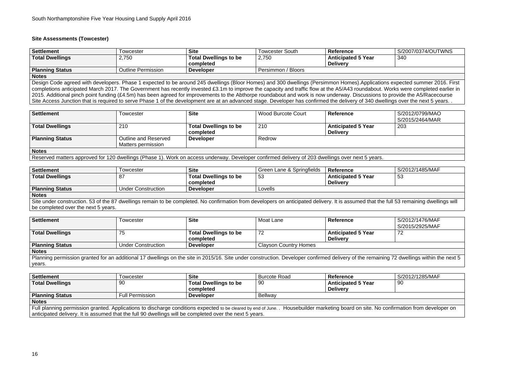#### **Site Assessments (Towcester)**

**Notes** Design Code agreed with developers. Phase 1 expected to be around 245 dwellings (Bloor Homes) and 300 dwellings (Persimmon Homes).Applications expected summer 2016. First completions anticipated March 2017. The Government has recently invested £3.1m to improve the capacity and traffic flow at the A5/A43 roundabout. Works were completed earlier in 2015. Additional pinch point funding (£4.5m) has been agreed for improvements to the Abthorpe roundabout and work is now underway. Discussions to provide the A5/Racecourse Site Access Junction that is required to serve Phase 1 of the development are at an advanced stage. Developer has confirmed the delivery of 340 dwellings over the next 5 years. .

| <b>Settlement</b>      | l owcester             | <b>Site</b>                  | Towcester South       | <b>Reference</b>          | S/2007/0374/OUTWNS |
|------------------------|------------------------|------------------------------|-----------------------|---------------------------|--------------------|
| <b>Total Dwellings</b> | 2,750                  | <b>Total Dwellings to be</b> | 2,750                 | <b>Anticipated 5 Year</b> | 340                |
|                        |                        | completed                    |                       | <b>Delivery</b>           |                    |
| <b>Planning Status</b> | tline Permission<br>⊿น | <b>Developer</b>             | / Bloors<br>Persimmon |                           |                    |

# 340

3 remaining dwellings will

| Settlement             | Гоwсester                 | <b>Site</b>                  | <b>Wood Burcote Court</b> | <b>Reference</b>          | S/2012/0799/MAO |
|------------------------|---------------------------|------------------------------|---------------------------|---------------------------|-----------------|
|                        |                           |                              |                           |                           | S/2015/2464/MAR |
| <b>Total Dwellings</b> | 210                       | <b>Total Dwellings to be</b> | 210                       | <b>Anticipated 5 Year</b> | 203             |
|                        |                           | completed                    |                           | <b>Delivery</b>           |                 |
| <b>Planning Status</b> | Outline and Reserved      | <b>Developer</b>             | Redrow                    |                           |                 |
|                        | <b>Matters permission</b> |                              |                           |                           |                 |
| <b>Notes</b>           |                           |                              |                           |                           |                 |
|                        |                           |                              |                           |                           |                 |

Reserved matters approved for 120 dwellings (Phase 1). Work on access underway. Developer confirmed delivery of 203 dwellings over next 5 years.

| <b>Settlement</b>                                                                                                                                                                  | Гowcester                 | <b>Site</b>                  | Green Lane & Springfields | Reference                 | S/2012/1485/MAF |  |  |
|------------------------------------------------------------------------------------------------------------------------------------------------------------------------------------|---------------------------|------------------------------|---------------------------|---------------------------|-----------------|--|--|
|                                                                                                                                                                                    |                           |                              |                           |                           |                 |  |  |
| <b>Total Dwellings</b>                                                                                                                                                             | 87                        | <b>Total Dwellings to be</b> | -53                       | <b>Anticipated 5 Year</b> | 53              |  |  |
|                                                                                                                                                                                    |                           | completed                    |                           | <b>Delivery</b>           |                 |  |  |
| <b>Planning Status</b>                                                                                                                                                             | <b>Under Construction</b> | <b>Developer</b>             | Lovells                   |                           |                 |  |  |
| <b>Notes</b>                                                                                                                                                                       |                           |                              |                           |                           |                 |  |  |
| Site under construction. 53 of the 87 dwellings remain to be completed. No confirmation from developers on anticipated delivery. It is assumed that the full 53 remaining dwelling |                           |                              |                           |                           |                 |  |  |

be completed over the next 5 years.

dwellings within the next 5

| <b>Settlement</b>                                                                                                                                                                | <b>Towcester</b>          | <b>Site</b>                  | Moat Lane                    | <b>Reference</b>          | S/2012/1476/MAF<br>S/2015/2925/MAF |  |  |
|----------------------------------------------------------------------------------------------------------------------------------------------------------------------------------|---------------------------|------------------------------|------------------------------|---------------------------|------------------------------------|--|--|
|                                                                                                                                                                                  |                           |                              |                              |                           |                                    |  |  |
| <b>Total Dwellings</b>                                                                                                                                                           | 75                        | <b>Total Dwellings to be</b> | 72                           | <b>Anticipated 5 Year</b> | 72                                 |  |  |
|                                                                                                                                                                                  |                           | completed                    |                              | <b>Delivery</b>           |                                    |  |  |
| <b>Planning Status</b>                                                                                                                                                           | <b>Under Construction</b> | <b>Developer</b>             | <b>Clayson Country Homes</b> |                           |                                    |  |  |
| <b>Notes</b>                                                                                                                                                                     |                           |                              |                              |                           |                                    |  |  |
| Planning permission granted for an additional 17 dwellings on the site in 2015/16. Site under construction. Developer confirmed delivery of the remaining 72 dwellings within th |                           |                              |                              |                           |                                    |  |  |
| years.                                                                                                                                                                           |                           |                              |                              |                           |                                    |  |  |

nation from developer on

| Settlement                                                                                                                                                                        | Towcester              | <b>Site</b>                  | <b>Burcote Road</b> | <b>Reference</b>          | S/2012/1285/MAF |  |  |  |
|-----------------------------------------------------------------------------------------------------------------------------------------------------------------------------------|------------------------|------------------------------|---------------------|---------------------------|-----------------|--|--|--|
| <b>Total Dwellings</b>                                                                                                                                                            | 90                     | <b>Total Dwellings to be</b> | 90                  | <b>Anticipated 5 Year</b> | 90              |  |  |  |
|                                                                                                                                                                                   |                        | completed                    |                     | <b>Delivery</b>           |                 |  |  |  |
| <b>Planning Status</b>                                                                                                                                                            | <b>Full Permission</b> | <b>Developer</b>             | Bellway             |                           |                 |  |  |  |
| <b>Notes</b>                                                                                                                                                                      |                        |                              |                     |                           |                 |  |  |  |
| Full planning permission granted. Applications to discharge conditions expected to be cleared by end of June. . Housebuilder marketing board on site. No confirmation from develo |                        |                              |                     |                           |                 |  |  |  |
| anticipated delivery. It is assumed that the full 90 dwellings will be completed over the next 5 years.                                                                           |                        |                              |                     |                           |                 |  |  |  |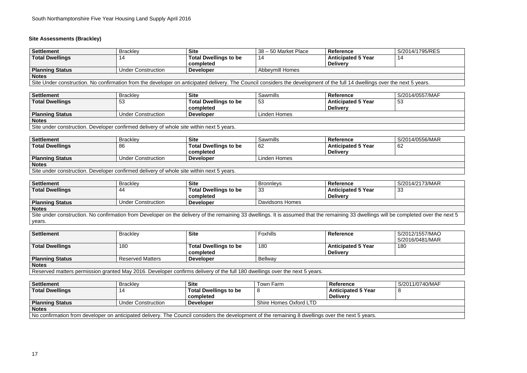## **Site Assessments (Brackley)**

### **Settlement** Brackley **Site** 38 – 50 Market Place **Reference** S/2014/1795/RES 14

| Settlement                                                                                                                                                                 | <b>Brackley</b>           | <b>Site</b>                  | l 38 – 50 Market Place | Reference                 | S/2014/1795/F |  |  |
|----------------------------------------------------------------------------------------------------------------------------------------------------------------------------|---------------------------|------------------------------|------------------------|---------------------------|---------------|--|--|
| <b>Total Dwellings</b>                                                                                                                                                     |                           | <b>Total Dwellings to be</b> |                        | <b>Anticipated 5 Year</b> | 14            |  |  |
|                                                                                                                                                                            |                           | completed                    |                        | <b>Delivery</b>           |               |  |  |
| Planning Status                                                                                                                                                            | <b>Under Construction</b> | <b>Developer</b>             | Abbeymill Homes        |                           |               |  |  |
| <b>Notes</b>                                                                                                                                                               |                           |                              |                        |                           |               |  |  |
| Site Under construction. No confirmation from the developer on anticipated delivery. The Council considers the development of the full 14 dwellings over the next 5 years. |                           |                              |                        |                           |               |  |  |

53

| Settlement                                                                               | <b>Brackley</b>    | <b>Site</b>                  | Sawmills     | Reference                 | S/2014/0557/MAF |  |  |  |
|------------------------------------------------------------------------------------------|--------------------|------------------------------|--------------|---------------------------|-----------------|--|--|--|
| <b>Total Dwellings</b>                                                                   | 53                 | <b>Total Dwellings to be</b> | 53           | <b>Anticipated 5 Year</b> | 53              |  |  |  |
|                                                                                          |                    | completed                    |              | <b>Delivery</b>           |                 |  |  |  |
| <b>Planning Status</b>                                                                   | Under Construction | <b>Developer</b>             | Linden Homes |                           |                 |  |  |  |
| <b>Notes</b>                                                                             |                    |                              |              |                           |                 |  |  |  |
| Site under construction. Developer confirmed delivery of whole site within next 5 years. |                    |                              |              |                           |                 |  |  |  |

62

| <b>Settlement</b>      | <b>Brackley</b>                                                                          | <b>Site</b>                  | <b>Sawmills</b> | <b>Reference</b>          | S/2014/0556/MAR |  |  |  |
|------------------------|------------------------------------------------------------------------------------------|------------------------------|-----------------|---------------------------|-----------------|--|--|--|
| <b>Total Dwellings</b> | 86                                                                                       | <b>Total Dwellings to be</b> | 62              | <b>Anticipated 5 Year</b> | 62              |  |  |  |
|                        |                                                                                          | completed                    |                 | <b>Delivery</b>           |                 |  |  |  |
| <b>Planning Status</b> | Under Construction                                                                       | <b>Developer</b>             | Linden Homes    |                           |                 |  |  |  |
| <b>Notes</b>           |                                                                                          |                              |                 |                           |                 |  |  |  |
|                        | Site under construction. Developer confirmed delivery of whole site within next 5 years. |                              |                 |                           |                 |  |  |  |

**Settlement** Brackley **Site** Bronnleys **Reference** S/2014/2173/MAR 33

completed over the next 5

| <b>Settlement</b>                                                                                                                                              | <b>Brackley</b>           | <b>Site</b>                  | <b>Bronnleys</b>       | <b>Reference</b>          |  |
|----------------------------------------------------------------------------------------------------------------------------------------------------------------|---------------------------|------------------------------|------------------------|---------------------------|--|
| <b>Total Dwellings</b>                                                                                                                                         | -44                       | <b>Total Dwellings to be</b> | -33                    | <b>Anticipated 5 Year</b> |  |
|                                                                                                                                                                |                           | completed                    |                        | <b>Delivery</b>           |  |
| <b>Planning Status</b>                                                                                                                                         | <b>Under Construction</b> | <b>Developer</b>             | <b>Davidsons Homes</b> |                           |  |
| <b>Notes</b>                                                                                                                                                   |                           |                              |                        |                           |  |
| Site under construction. No confirmation from Developer on the delivery of the remaining 33 dwellings. It is assumed that the remaining 33 dwellings will be c |                           |                              |                        |                           |  |
| years.                                                                                                                                                         |                           |                              |                        |                           |  |

**Settlement** Brackley **Site** Foxhills **Reference** S/2012/1557/MAO S/2016/0481/MAR 180

| Settlement                                                                                                                 | <b>Brackley</b>         | <b>Site</b>                  | <b>Foxhills</b> | <b>Reference</b>          |  |
|----------------------------------------------------------------------------------------------------------------------------|-------------------------|------------------------------|-----------------|---------------------------|--|
|                                                                                                                            |                         |                              |                 |                           |  |
| <b>Total Dwellings</b>                                                                                                     | 180                     | <b>Total Dwellings to be</b> | 180             | <b>Anticipated 5 Year</b> |  |
|                                                                                                                            |                         | completed                    |                 | <b>Delivery</b>           |  |
| <b>Planning Status</b>                                                                                                     | <b>Reserved Matters</b> | <b>Developer</b>             | <b>Bellway</b>  |                           |  |
| <b>Notes</b>                                                                                                               |                         |                              |                 |                           |  |
| Reserved matters permission granted May 2016. Developer confirms delivery of the full 180 dwellings over the next 5 years. |                         |                              |                 |                           |  |

**Settlement** Brackley **Site** Town Farm **Reference** S/2011/0740/MAF 8

| <b>Settlement</b>                                                                                                                                 | <b>Brackley</b>    | <b>Site</b>                  | Town Farm              | <b>Reference</b>          |
|---------------------------------------------------------------------------------------------------------------------------------------------------|--------------------|------------------------------|------------------------|---------------------------|
| <b>Total Dwellings</b>                                                                                                                            | 14                 | <b>Total Dwellings to be</b> | 8                      | <b>Anticipated 5 Year</b> |
|                                                                                                                                                   |                    | completed                    |                        | <b>Delivery</b>           |
| <b>Planning Status</b>                                                                                                                            | Under Construction | <b>Developer</b>             | Shire Homes Oxford LTD |                           |
| <b>Notes</b>                                                                                                                                      |                    |                              |                        |                           |
| No confirmation from developer on anticipated delivery. The Council considers the development of the remaining 8 dwellings over the next 5 years. |                    |                              |                        |                           |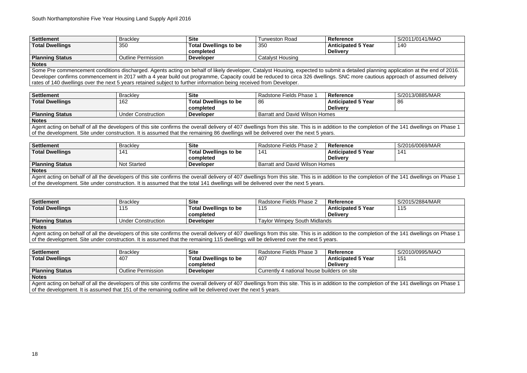| Settlement             | <b>Brackley</b>    | <b>Site</b>                               | Turweston Road   | <b>Reference</b>                             | S/2011/0141/MAO |
|------------------------|--------------------|-------------------------------------------|------------------|----------------------------------------------|-----------------|
| Total Dwellings        | 350                | <b>Total Dwellings to be</b><br>completed | 350              | <b>Anticipated 5 Year</b><br><b>Delivery</b> | 140             |
| <b>Planning Status</b> | Outline Permission | <b>Developer</b>                          | Catalyst Housing |                                              |                 |
| <b>Notes</b>           |                    |                                           |                  |                                              |                 |

Some Pre commencement conditions discharged. Agents acting on behalf of likely developer, Catalyst Housing, expected to submit a detailed planning application at the end of 2016. Developer confirms commencement in 2017 with a 4 year build out programme. Capacity could be reduced to circa 326 dwellings. SNC more cautious approach of assumed delivery rates of 140 dwellings over the next 5 years retained subject to further information being received from Developer.

Agent acting on behalf of all the developers of this site confirms the overall delivery of 407 dwellings from this site. This is in addition to the completion of the 141 dwellings on Phase 1 of the development. Site under construction. It is assumed that the remaining 86 dwellings will be delivered over the next 5 years.

| Settlement             | <b>Brackley</b>           | <b>Site</b>                  | Radstone Fields Phase                 | Reference                 | S/2013/0885/MAR |
|------------------------|---------------------------|------------------------------|---------------------------------------|---------------------------|-----------------|
| <b>Total Dwellings</b> | 162                       | <b>Total Dwellings to be</b> | -86                                   | <b>Anticipated 5 Year</b> | 86              |
|                        |                           | completed                    |                                       | <b>Delivery</b>           |                 |
| <b>Planning Status</b> | <b>Under Construction</b> | <b>Developer</b>             | <b>Barratt and David Wilson Homes</b> |                           |                 |

Agent acting on behalf of all the developers of this site confirms the overall delivery of 407 dwellings from this site. This is in addition to the completion of the 141 dwellings on Phase 1 of the development. Site under construction. It is assumed that the total 141 dwellings will be delivered over the next 5 years.

**Notes** 

| <b>Settlement</b>      | <b>Brackley</b>    | <b>Site</b>                  | Radstone Fields Phase 2               | <b>Reference</b>          | S/2016/0069/MAR |
|------------------------|--------------------|------------------------------|---------------------------------------|---------------------------|-----------------|
| <b>Total Dwellings</b> | 14'                | <b>Total Dwellings to be</b> | 141                                   | <b>Anticipated 5 Year</b> | 141             |
|                        |                    | completed                    |                                       | <b>Delivery</b>           |                 |
| <b>Planning Status</b> | <b>Not Started</b> | <b>Developer</b>             | <b>Barratt and David Wilson Homes</b> |                           |                 |
| <b>Notes</b>           |                    |                              |                                       |                           |                 |

141

Agent acting on behalf of all the developers of this site confirms the overall delivery of 407 dwellings from this site. This is in addition to the completion of the 141 dwellings on Phase 1 of the development. It is assumed that 151 of the remaining outline will be delivered over the next 5 years.

115

 $\overline{141}$  dwellings on Phase 1

| Settlement                                                                                                                                                                               | <b>Brackley</b>           | <b>Site</b>                  | Radstone Fields Phase 2             | Reference                 | S/2015/2884/MAR |  |
|------------------------------------------------------------------------------------------------------------------------------------------------------------------------------------------|---------------------------|------------------------------|-------------------------------------|---------------------------|-----------------|--|
| <b>Total Dwellings</b>                                                                                                                                                                   | 115                       | <b>Total Dwellings to be</b> | 115                                 | <b>Anticipated 5 Year</b> | 115             |  |
|                                                                                                                                                                                          |                           | completed                    |                                     | <b>Delivery</b>           |                 |  |
| <b>Planning Status</b>                                                                                                                                                                   | <b>Under Construction</b> | <b>Developer</b>             | <b>Taylor Wimpey South Midlands</b> |                           |                 |  |
| Notes                                                                                                                                                                                    |                           |                              |                                     |                           |                 |  |
| Agent acting on behalf of all the developers of this site confirms the overall delivery of 407 dwellings from this site. This is in addition to the completion of the 141 dwellings on F |                           |                              |                                     |                           |                 |  |
| of the development. Site under construction. It is assumed that the remaining 115 dwellings will be delivered over the next 5 years.                                                     |                           |                              |                                     |                           |                 |  |

| <b>Settlement</b>      | <b>Brackley</b>           | <b>Site</b>                  | Radstone Fields Phase 3                     | <b>Reference</b>          | S/2010/0995/MAO |
|------------------------|---------------------------|------------------------------|---------------------------------------------|---------------------------|-----------------|
| <b>Total Dwellings</b> | 407                       | <b>Total Dwellings to be</b> | 407                                         | <b>Anticipated 5 Year</b> | 15 <sup>′</sup> |
|                        |                           | completed                    |                                             | <b>Delivery</b>           |                 |
| <b>Planning Status</b> | <b>Outline Permission</b> | <b>Developer</b>             | Currently 4 national house builders on site |                           |                 |
| <b>Notes</b>           |                           |                              |                                             |                           |                 |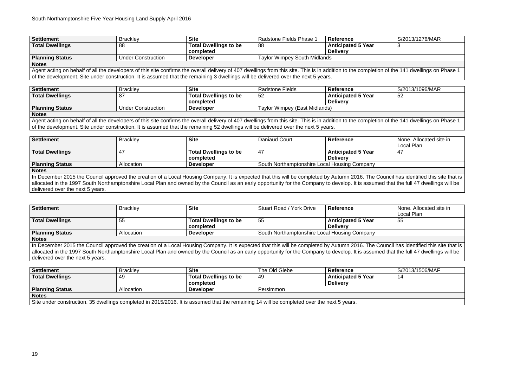| Settlement             | <b>Brackley</b>           | <b>Site</b>                  | <b>Radstone Fields Phase 1</b>      | Reference                 | S/2013/1276/MAR |
|------------------------|---------------------------|------------------------------|-------------------------------------|---------------------------|-----------------|
| <b>Total Dwellings</b> | 88                        | <b>Total Dwellings to be</b> | 88                                  | <b>Anticipated 5 Year</b> |                 |
|                        |                           | completed                    |                                     | <b>Delivery</b>           |                 |
| Planning Status        | <b>Under Construction</b> | <b>Developer</b>             | <b>Taylor Wimpey South Midlands</b> |                           |                 |
| <b>Notes</b>           |                           |                              |                                     |                           |                 |

Agent acting on behalf of all the developers of this site confirms the overall delivery of 407 dwellings from this site. This is in addition to the completion of the 141 dwellings on Phase 1 of the development. Site under construction. It is assumed that the remaining 3 dwellings will be delivered over the next 5 years.

Agent acting on behalf of all the developers of this site confirms the overall delivery of 407 dwellings from this site. This is in addition to the completion of the 141 dwellings on Phase 1 of the development. Site under construction. It is assumed that the remaining 52 dwellings will be delivered over the next 5 years.

> **None. Allocated site in** Local Plan 47

| Settlement             | <b>Brackley</b>           | <b>Site</b>                  | Radstone Fields               | <b>Reference</b>          | S/2013/1096/MAR |
|------------------------|---------------------------|------------------------------|-------------------------------|---------------------------|-----------------|
| <b>Total Dwellings</b> | 8 <sub>1</sub>            | <b>Total Dwellings to be</b> | 52                            | <b>Anticipated 5 Year</b> | 52              |
|                        |                           | completed                    |                               | <b>Delivery</b>           |                 |
| <b>Planning Status</b> | <b>Under Construction</b> | <b>Developer</b>             | Taylor Wimpey (East Midlands) |                           |                 |
| <b>Notes</b>           |                           |                              |                               |                           |                 |

In December 2015 the Council approved the creation of a Local Housing Company. It is expected that this will be completed by Autumn 2016. The Council has identified this site that is allocated in the 1997 South Northamptonshire Local Plan and owned by the Council as an early opportunity for the Company to develop. It is assumed that the full 47 dwellings will be delivered over the next 5 years.

> **None. Allocated site in** Local Plan 55

In December 2015 the Council approved the creation of a Local Housing Company. It is expected that this will be completed by Autumn 2016. The Council has identified this site that is allocated in the 1997 South Northamptonshire Local Plan and owned by the Council as an early opportunity for the Company to develop. It is assumed that the full 47 dwellings will be delivered over the next 5 years.

| <b>Settlement</b>      | <b>Brackley</b> | <b>Site</b>                               | Daniaud Court                                | <b>Reference</b>                             |  |
|------------------------|-----------------|-------------------------------------------|----------------------------------------------|----------------------------------------------|--|
| <b>Total Dwellings</b> | -47             | <b>Total Dwellings to be</b><br>completed | -47                                          | <b>Anticipated 5 Year</b><br><b>Delivery</b> |  |
| <b>Planning Status</b> | Allocation      | <b>Developer</b>                          | South Northamptonshire Local Housing Company |                                              |  |
| <b>Notes</b>           |                 |                                           |                                              |                                              |  |

| <b>Settlement</b>      | <b>Brackley</b> | <b>Site</b>                               | Stuart Road / York Drive                     | <b>Reference</b>                             |  |
|------------------------|-----------------|-------------------------------------------|----------------------------------------------|----------------------------------------------|--|
| <b>Total Dwellings</b> | 55              | <b>Total Dwellings to be</b><br>completed | 55                                           | <b>Anticipated 5 Year</b><br><b>Delivery</b> |  |
| <b>Planning Status</b> | Allocation      | <b>Developer</b>                          | South Northamptonshire Local Housing Company |                                              |  |
| <b>Notes</b>           |                 |                                           |                                              |                                              |  |

14

| Settlement                                                                                                                                 | <b>Brackley</b> | <b>Site</b>                  | The Old Glebe | <b>Reference</b>   | S/2013/1506/MAF |  |  |  |
|--------------------------------------------------------------------------------------------------------------------------------------------|-----------------|------------------------------|---------------|--------------------|-----------------|--|--|--|
| <b>Total Dwellings</b>                                                                                                                     | 49              | <b>Total Dwellings to be</b> | 49            | Anticipated 5 Year | 14              |  |  |  |
|                                                                                                                                            |                 | completed                    |               | <b>Delivery</b>    |                 |  |  |  |
| <b>Planning Status</b>                                                                                                                     | Allocation      | <b>Developer</b>             | Persimmon     |                    |                 |  |  |  |
| <b>Notes</b>                                                                                                                               |                 |                              |               |                    |                 |  |  |  |
| Site under construction. 35 dwellings completed in 2015/2016. It is assumed that the remaining 14 will be completed over the next 5 years. |                 |                              |               |                    |                 |  |  |  |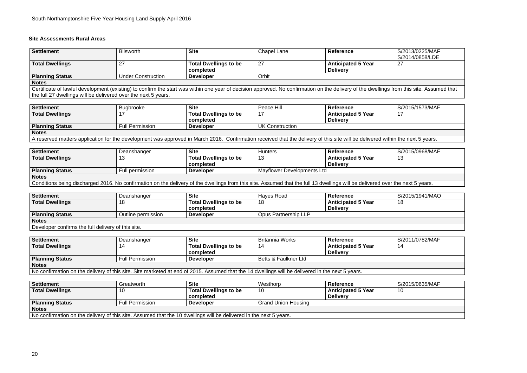#### **Site Assessments Rural Areas**

| Settlement             | <b>Blisworth</b>   | <b>Site</b>                               | Chapel Lane    | <b>Reference</b>                             | S/2013/0225/MAF<br>S/2014/0858/LDE |
|------------------------|--------------------|-------------------------------------------|----------------|----------------------------------------------|------------------------------------|
| <b>Total Dwellings</b> | <u>_</u>           | <b>Total Dwellings to be</b><br>completed | 27<br><u>.</u> | <b>Anticipated 5 Year</b><br><b>Delivery</b> | ົ<br>$\epsilon$                    |
| <b>Planning Status</b> | Under Construction | <b>Developer</b>                          | Orbit          |                                              |                                    |
| <b>Notes</b>           |                    |                                           |                |                                              |                                    |

## S/2014/0858/LDE 27

Certificate of lawful development (existing) to confirm the start was within one year of decision approved. No confirmation on the delivery of the dwellings from this site. Assumed that the full 27 dwellings will be delivered over the next 5 years.

> $S/2015/0968/MAF$ 13

**Settlement** Bugbrooke **Site** Peace Hill **Reference** S/2015/1573/MAF 17

| <b>Settlement</b>               | <b>Bugbrooke</b>       | <b>Site</b>                             | Peace Hill      | <b>Reference</b>          |  |
|---------------------------------|------------------------|-----------------------------------------|-----------------|---------------------------|--|
| <b>Total Dwellings</b>          |                        | <b>Total Dwellings to be</b>            |                 | <b>Anticipated 5 Year</b> |  |
|                                 |                        | completed                               |                 | <b>Delivery</b>           |  |
| <b>Planning Status</b>          | <b>Full Permission</b> | <b>Developer</b>                        | UK Construction |                           |  |
| <b>Notes</b>                    |                        |                                         |                 |                           |  |
| . .<br>$\overline{\phantom{a}}$ | .                      | $\sim$ $\sim$ $\sim$ $\sim$ $\sim$<br>. | .               | .<br>.<br>.<br>.<br>.     |  |

A reserved matters application for the development was approved in March 2016. Confirmation received that the delivery of this site will be delivered within the next 5 years.

| Settlement             | Deanshanger     | <b>Site</b>                  | <b>Hunters</b>             | <b>Reference</b>          |  |
|------------------------|-----------------|------------------------------|----------------------------|---------------------------|--|
| <b>Total Dwellings</b> | ╵┙              | <b>Total Dwellings to be</b> | יי                         | <b>Anticipated 5 Year</b> |  |
|                        |                 | completed                    |                            | <b>Delivery</b>           |  |
| <b>Planning Status</b> | Full permission | <b>Developer</b>             | Mayflower Developments Ltd |                           |  |
| <b>Notes</b>           |                 |                              |                            |                           |  |

Conditions being discharged 2016. No confirmation on the delivery of the dwellings from this site. Assumed that the full 13 dwellings will be delivered over the next 5 years.

| <b>Settlement</b>      | Deanshanger        | <b>Site</b>                  | Haves Road           | <b>Reference</b>          | S/2015/1941/MAO |
|------------------------|--------------------|------------------------------|----------------------|---------------------------|-----------------|
| <b>Total Dwellings</b> | 18                 | <b>Total Dwellings to be</b> | טו                   | <b>Anticipated 5 Year</b> | 10              |
|                        |                    | completed                    |                      | <b>Delivery</b>           |                 |
| <b>Planning Status</b> | Outline permission | <b>Developer</b>             | Opus Partnership LLP |                           |                 |
| <b>Notes</b>           |                    |                              |                      |                           |                 |

18

Developer confirms the full delivery of this site.

| Settlement                                                                                                                                       | Deanshanger            | <b>Site</b>                  | Britannia Works        | <b>Reference</b>          | S/2011/0782/MAF |  |  |
|--------------------------------------------------------------------------------------------------------------------------------------------------|------------------------|------------------------------|------------------------|---------------------------|-----------------|--|--|
| <b>Total Dwellings</b>                                                                                                                           | 14                     | <b>Total Dwellings to be</b> | 14                     | <b>Anticipated 5 Year</b> | 14              |  |  |
|                                                                                                                                                  |                        | completed                    |                        | <b>Delivery</b>           |                 |  |  |
| <b>Planning Status</b>                                                                                                                           | <b>Full Permission</b> | <b>Developer</b>             | I Betts & Faulkner Ltd |                           |                 |  |  |
| <b>Notes</b>                                                                                                                                     |                        |                              |                        |                           |                 |  |  |
| No confirmation on the delivery of this site. Site marketed at end of 2015. Assumed that the 14 dwellings will be delivered in the next 5 years. |                        |                              |                        |                           |                 |  |  |

| <b>Settlement</b>                                                                                                  | Greatworth             | <b>Site</b>                  | Westhorp                   | Reference                 | S/2015/0635/MAF |  |  |  |
|--------------------------------------------------------------------------------------------------------------------|------------------------|------------------------------|----------------------------|---------------------------|-----------------|--|--|--|
| <b>Total Dwellings</b>                                                                                             |                        | <b>Total Dwellings to be</b> | 10                         | <b>Anticipated 5 Year</b> | 10              |  |  |  |
|                                                                                                                    |                        | completed                    |                            | <b>Delivery</b>           |                 |  |  |  |
| <b>Planning Status</b>                                                                                             | <b>Full Permission</b> | <b>Developer</b>             | <b>Grand Union Housing</b> |                           |                 |  |  |  |
| <b>Notes</b>                                                                                                       |                        |                              |                            |                           |                 |  |  |  |
| No confirmation on the delivery of this site. Assumed that the 10 dwellings will be delivered in the next 5 years. |                        |                              |                            |                           |                 |  |  |  |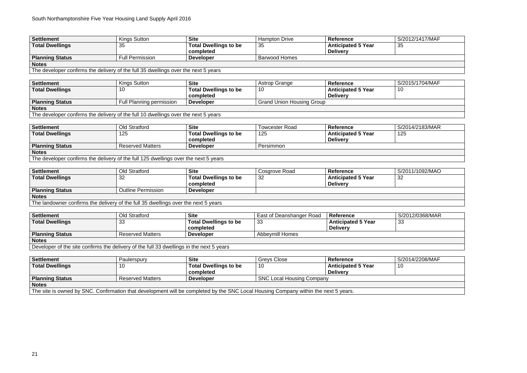35

**Settlement** Kings Sutton **Site** Astrop Grange **Reference** S/2015/1704/MAF 10

| <b>Settlement</b>      | <b>Kings Sutton</b>                                                                 | <b>Site</b>                               | <b>Hampton Drive</b>             | <b>Reference</b>                             | S/2012/1417/MAF |
|------------------------|-------------------------------------------------------------------------------------|-------------------------------------------|----------------------------------|----------------------------------------------|-----------------|
| <b>Total Dwellings</b> | 35                                                                                  | <b>Total Dwellings to be</b><br>completed | 35                               | <b>Anticipated 5 Year</b><br><b>Delivery</b> | 35              |
| <b>Planning Status</b> | <b>Full Permission</b>                                                              | <b>Developer</b>                          | <b>Barwood Homes</b>             |                                              |                 |
| <b>Notes</b>           |                                                                                     |                                           |                                  |                                              |                 |
|                        | The developer confirms the delivery of the full 35 dwellings over the next 5 years  |                                           |                                  |                                              |                 |
|                        |                                                                                     |                                           |                                  |                                              |                 |
| <b>Settlement</b>      | <b>Kings Sutton</b>                                                                 | <b>Site</b>                               | <b>Astrop Grange</b>             | <b>Reference</b>                             | S/2015/1704/MAF |
| <b>Total Dwellings</b> | 10                                                                                  | <b>Total Dwellings to be</b><br>completed | 10                               | <b>Anticipated 5 Year</b><br><b>Delivery</b> | 10              |
| <b>Planning Status</b> | Full Planning permission                                                            | <b>Developer</b>                          | <b>Grand Union Housing Group</b> |                                              |                 |
| <b>Notes</b>           |                                                                                     |                                           |                                  |                                              |                 |
|                        | The developer confirms the delivery of the full 10 dwellings over the next 5 years  |                                           |                                  |                                              |                 |
|                        |                                                                                     |                                           |                                  |                                              |                 |
| <b>Settlement</b>      | <b>Old Stratford</b>                                                                | <b>Site</b>                               | <b>Towcester Road</b>            | <b>Reference</b>                             | S/2014/2183/MAR |
| <b>Total Dwellings</b> | 125                                                                                 | <b>Total Dwellings to be</b><br>completed | 125                              | <b>Anticipated 5 Year</b><br><b>Delivery</b> | 125             |
| <b>Planning Status</b> | <b>Reserved Matters</b>                                                             | <b>Developer</b>                          | Persimmon                        |                                              |                 |
| <b>Notes</b>           |                                                                                     |                                           |                                  |                                              |                 |
|                        | The developer confirms the delivery of the full 125 dwellings over the next 5 years |                                           |                                  |                                              |                 |

**Settlement** Old Stratford **Site** Cosgrove Road **Reference** S/2011/1092/MAO 32

| <b>Settlement</b>                                                                  | Old Stratford             | <b>Site</b>                  | Cosgrove Road | <b>Reference</b>          |  |  |  |  |
|------------------------------------------------------------------------------------|---------------------------|------------------------------|---------------|---------------------------|--|--|--|--|
| <b>Total Dwellings</b>                                                             | 32                        | <b>Total Dwellings to be</b> | 32            | <b>Anticipated 5 Year</b> |  |  |  |  |
|                                                                                    |                           | completed                    |               | <b>Delivery</b>           |  |  |  |  |
| <b>Planning Status</b>                                                             | <b>Outline Permission</b> | <b>Developer</b>             |               |                           |  |  |  |  |
| <b>Notes</b>                                                                       |                           |                              |               |                           |  |  |  |  |
| The landowner confirms the delivery of the full 35 dwellings over the next 5 years |                           |                              |               |                           |  |  |  |  |

| <b>Settlement</b>                                                                        | <b>Old Stratford</b>    | <b>Site</b>                  | East of Deanshanger Road | <b>Reference</b>   | S/2012/0368/MAR |
|------------------------------------------------------------------------------------------|-------------------------|------------------------------|--------------------------|--------------------|-----------------|
| <b>Total Dwellings</b>                                                                   | 33                      | <b>Total Dwellings to be</b> | 33                       | Anticipated 5 Year | -33             |
|                                                                                          |                         | completed                    |                          | <b>Delivery</b>    |                 |
| <b>Planning Status</b>                                                                   | <b>Reserved Matters</b> | <b>Developer</b>             | <b>Abbeymill Homes</b>   |                    |                 |
| <b>Notes</b>                                                                             |                         |                              |                          |                    |                 |
| Developer of the site confirms the delivery of the full 33 dwellings in the next 5 years |                         |                              |                          |                    |                 |

33

**Settlement** Paulerspury **Site** Greys Close **Reference** S/2014/2208/MAF 10

| Settlement                                                                                                                          | <b>Paulerspury</b>      | <b>Site</b>                  | Greys Close                      | Reference                 |  |  |
|-------------------------------------------------------------------------------------------------------------------------------------|-------------------------|------------------------------|----------------------------------|---------------------------|--|--|
| <b>Total Dwellings</b>                                                                                                              |                         | <b>Total Dwellings to be</b> | 10                               | <b>Anticipated 5 Year</b> |  |  |
|                                                                                                                                     |                         | completed                    |                                  | <b>Delivery</b>           |  |  |
| <b>Planning Status</b>                                                                                                              | <b>Reserved Matters</b> | <b>Developer</b>             | <b>SNC Local Housing Company</b> |                           |  |  |
| <b>Notes</b>                                                                                                                        |                         |                              |                                  |                           |  |  |
| The site is owned by SNC. Confirmation that development will be completed by the SNC Local Housing Company within the next 5 years. |                         |                              |                                  |                           |  |  |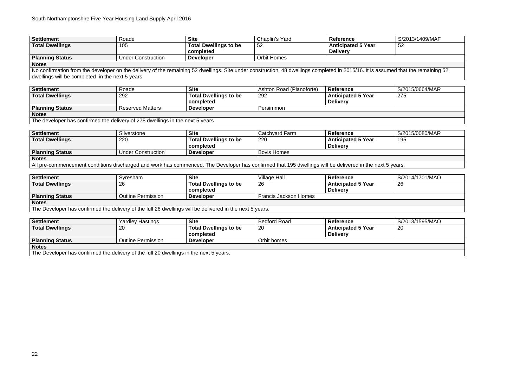**Settlement** Roade **Site** Chaplin's Yard **Reference** S/2013/1409/MAF 52

| <b>Settlement</b>      | Roade                     | <b>Site</b>                  | Chaplin's Yard     | <b>Reference</b>          |  |
|------------------------|---------------------------|------------------------------|--------------------|---------------------------|--|
| <b>Total Dwellings</b> | 105                       | <b>Total Dwellings to be</b> | -52                | <b>Anticipated 5 Year</b> |  |
|                        |                           | completed                    |                    | <b>Delivery</b>           |  |
| <b>Planning Status</b> | <b>Under Construction</b> | <b>Developer</b>             | <b>Orbit Homes</b> |                           |  |
| <b>Notes</b>           |                           |                              |                    |                           |  |

No confirmation from the developer on the delivery of the remaining 52 dwellings. Site under construction. 48 dwellings completed in 2015/16. It is assumed that the remaining 52 dwellings will be completed in the next 5 years

> **Settlement** Roade **Site** Ashton Road (Pianoforte) **Reference** S/2015/0664/MAR 275

| <b>Settlement</b>                                                             | Roade                   | <b>Site</b>                  | Ashton Road (Pianoforte) | <b>Reference</b>          |  |  |  |
|-------------------------------------------------------------------------------|-------------------------|------------------------------|--------------------------|---------------------------|--|--|--|
| <b>Total Dwellings</b>                                                        | 292                     | <b>Total Dwellings to be</b> | 292                      | <b>Anticipated 5 Year</b> |  |  |  |
|                                                                               |                         | completed                    |                          | <b>Delivery</b>           |  |  |  |
| <b>Planning Status</b>                                                        | <b>Reserved Matters</b> | <b>Developer</b>             | Persimmon                |                           |  |  |  |
| <b>Notes</b>                                                                  |                         |                              |                          |                           |  |  |  |
| The developer has confirmed the delivery of 275 dwellings in the next 5 years |                         |                              |                          |                           |  |  |  |

| Settlement             | Silverstone                                                                                                                                              | <b>Site</b>                  | Catchyard Farm     | <b>Reference</b>          | S/2015/0080/MAR |  |  |  |  |
|------------------------|----------------------------------------------------------------------------------------------------------------------------------------------------------|------------------------------|--------------------|---------------------------|-----------------|--|--|--|--|
| <b>Total Dwellings</b> | 220                                                                                                                                                      | <b>Total Dwellings to be</b> | 220                | <b>Anticipated 5 Year</b> | 195             |  |  |  |  |
|                        |                                                                                                                                                          | completed                    |                    | <b>Delivery</b>           |                 |  |  |  |  |
| <b>Planning Status</b> | <b>Under Construction</b>                                                                                                                                | <b>Developer</b>             | <b>Bovis Homes</b> |                           |                 |  |  |  |  |
| <b>Notes</b>           |                                                                                                                                                          |                              |                    |                           |                 |  |  |  |  |
|                        | All pre-commencement conditions discharged and work has commenced. The Developer has confirmed that 195 dwellings will be delivered in the next 5 years. |                              |                    |                           |                 |  |  |  |  |

**Settlement** Syresham **Site** Village Hall **Reference** S/2014/1701/MAO 26

| Settlement                                                                                               | Syresham           | <b>Site</b>                  | Village Hall                 | <b>Reference</b>          |  |  |  |
|----------------------------------------------------------------------------------------------------------|--------------------|------------------------------|------------------------------|---------------------------|--|--|--|
| <b>Total Dwellings</b>                                                                                   | 26                 | <b>Total Dwellings to be</b> | 26                           | <b>Anticipated 5 Year</b> |  |  |  |
|                                                                                                          |                    | completed                    |                              | <b>Delivery</b>           |  |  |  |
| <b>Planning Status</b>                                                                                   | Outline Permission | <b>Developer</b>             | <b>Francis Jackson Homes</b> |                           |  |  |  |
| <b>Notes</b>                                                                                             |                    |                              |                              |                           |  |  |  |
| The Developer has confirmed the delivery of the full 26 dwellings will be delivered in the next 5 years. |                    |                              |                              |                           |  |  |  |
|                                                                                                          |                    |                              |                              |                           |  |  |  |

**Settlement** Yardley Hastings **Site** Bedford Road **Reference** S/2013/1595/MAO 20

| <b>Settlement</b>                                                                     | <b>Yardley Hastings</b>   | <b>Site</b>                  | <b>Bedford Road</b> | <b>Reference</b>          |  |  |  |
|---------------------------------------------------------------------------------------|---------------------------|------------------------------|---------------------|---------------------------|--|--|--|
| <b>Total Dwellings</b>                                                                | 20                        | <b>Total Dwellings to be</b> | 20                  | <b>Anticipated 5 Year</b> |  |  |  |
|                                                                                       |                           | completed                    |                     | <b>Delivery</b>           |  |  |  |
| <b>Planning Status</b>                                                                | <b>Outline Permission</b> | <b>Developer</b>             | Orbit homes         |                           |  |  |  |
| <b>Notes</b>                                                                          |                           |                              |                     |                           |  |  |  |
| The Developer has confirmed the delivery of the full 20 dwellings in the next 5 years |                           |                              |                     |                           |  |  |  |

The Developer has confirmed the delivery of the full 20 dwellings in the next 5 years.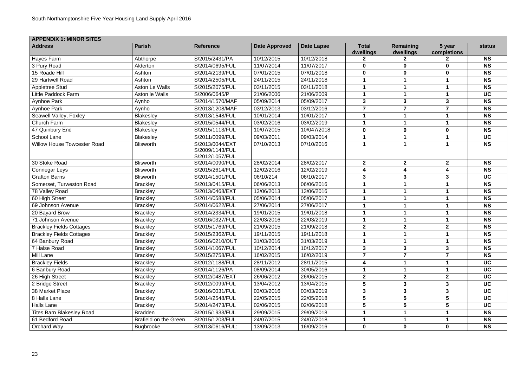| <b>APPENDIX 1: MINOR SITES</b>     |                              |                                                       |                      |                   |                           |                        |                       |               |
|------------------------------------|------------------------------|-------------------------------------------------------|----------------------|-------------------|---------------------------|------------------------|-----------------------|---------------|
| <b>Address</b>                     | <b>Parish</b>                | <b>Reference</b>                                      | <b>Date Approved</b> | <b>Date Lapse</b> | <b>Total</b><br>dwellings | Remaining<br>dwellings | 5 year<br>completions | <b>status</b> |
| <b>Hayes Farm</b>                  | Abthorpe                     | S/2015/2431/PA                                        | 10/12/2015           | 10/12/2018        | 2                         | $\mathbf{2}$           |                       | <b>NS</b>     |
| 3 Pury Road                        | Alderton                     | S/2014/0695/FUL                                       | 11/07/2014           | 11/07/2017        | $\mathbf 0$               | $\mathbf 0$            | $\mathbf 0$           | <b>NS</b>     |
| 15 Roade Hill                      | Ashton                       | S/2014/2139/FUL                                       | 07/01/2015           | 07/01/2018        | $\bf{0}$                  | $\bf{0}$               | $\mathbf 0$           | <b>NS</b>     |
| 29 Hartwell Road                   | Ashton                       | S/2014/2505/FUL                                       | 24/11/2015           | 24/11/2018        |                           |                        |                       | <b>NS</b>     |
| Appletree Stud                     | Aston Le Walls               | S/2015/2075/FUL                                       | 03/11/2015           | 03/11/2018        |                           |                        |                       | <b>NS</b>     |
| Little Paddock Farm                | Aston le Walls               | S/2006/0645/P                                         | 21/06/2006           | 21/06/2009        |                           |                        |                       | <b>UC</b>     |
| Aynhoe Park                        | Aynho                        | S/2014/1570/MAF                                       | 05/09/2014           | 05/09/2017        | 3                         | 3                      | 3                     | <b>NS</b>     |
| <b>Aynhoe Park</b>                 | Aynho                        | S/2013/1208/MAF                                       | 03/12/2013           | 03/12/2016        | $\overline{7}$            | $\overline{7}$         | $\overline{7}$        | <b>NS</b>     |
| Seawell Valley, Foxley             | <b>Blakesley</b>             | S/2013/1548/FUL                                       | 10/01/2014           | 10/01/2017        |                           |                        |                       | <b>NS</b>     |
| Church Farm                        | Blakesley                    | S/2015/0544/FUL                                       | 03/02/2016           | 03/02/2019        |                           |                        |                       | <b>NS</b>     |
| 47 Quinbury End                    | <b>Blakesley</b>             | S/2015/1113/FUL                                       | 10/07/2015           | 10/047/2018       | $\bf{0}$                  | $\mathbf 0$            | $\mathbf 0$           | <b>NS</b>     |
| School Lane                        | <b>Blakesley</b>             | S/2011/0099/FUL                                       | 09/03/2011           | 09/03/2014        |                           |                        |                       | <b>UC</b>     |
| <b>Willow House Towcester Road</b> | <b>Blisworth</b>             | S/2013/0044/EXT<br>S/2009/1143/FUL<br>S/2012/1057/FUL | 07/10/2013           | 07/10/2016        |                           |                        |                       | <b>NS</b>     |
| 30 Stoke Road                      | <b>Blisworth</b>             | S/2014/0090/FUL                                       | 28/02/2014           | 28/02/2017        | $\mathbf{2}$              | $\overline{2}$         | $\mathbf{2}$          | <b>NS</b>     |
| <b>Connegar Leys</b>               | <b>Blisworth</b>             | S/2015/2614/FUL                                       | 12/02/2016           | 12/02/2019        | 4                         | 4                      |                       | <b>NS</b>     |
| <b>Grafton Barns</b>               | <b>Blisworth</b>             | S/2014/1501/FUL                                       | 06/10/214            | 06/10/2017        | 3                         | 3                      | $\mathbf{3}$          | <b>UC</b>     |
| Somerset, Turweston Road           | <b>Brackley</b>              | S/2013/0415/FUL                                       | 06/06/2013           | 06/06/2016        |                           |                        |                       | <b>NS</b>     |
| 78 Valley Road                     | <b>Brackley</b>              | S/2013/0468/EXT                                       | 13/06/2013           | 13/06/2016        |                           |                        |                       | <b>NS</b>     |
| 60 High Street                     | <b>Brackley</b>              | S/2014/0588/FUL                                       | 05/06/2014           | 05/06/2017        |                           |                        |                       | <b>NS</b>     |
| 69 Johnson Avenue                  | <b>Brackley</b>              | S/2014/0622/FUL                                       | 27/06/2014           | 27/06/2017        |                           |                        |                       | <b>NS</b>     |
| 20 Bayard Brow                     | <b>Brackley</b>              | S/2014/2334/FUL                                       | 19/01/2015           | 19/01/2018        |                           |                        |                       | <b>NS</b>     |
| 71 Johnson Avenue                  | <b>Brackley</b>              | S/2016/0327/FUL                                       | 22/03/2016           | 22/03/2019        |                           |                        |                       | <b>NS</b>     |
| <b>Brackley Fields Cottages</b>    | <b>Brackley</b>              | S/2015/1769/FUL                                       | 21/09/2015           | 21/09/2018        | $\mathbf{2}$              | $\mathbf{2}$           | $\mathbf{2}$          | <b>NS</b>     |
| <b>Brackley Fields Cottages</b>    | <b>Brackley</b>              | S/2015/2362/FUL                                       | 19/11/2015           | 19/11/2018        |                           |                        |                       | <b>NS</b>     |
| 64 Banbury Road                    | <b>Brackley</b>              | S/2016/0210/OUT                                       | 31/03/2016           | 31/03/2019        |                           |                        |                       | <b>NS</b>     |
| 7 Halse Road                       | <b>Brackley</b>              | S/2014/1067/FUL                                       | 10/12/2014           | 10/12/2017        | $\mathbf{3}$              | 3                      | $\mathbf{3}$          | <b>NS</b>     |
| Mill Lane                          | <b>Brackley</b>              | S/2015/2758/FUL                                       | 16/02/2015           | 16/02/2019        |                           |                        |                       | <b>NS</b>     |
| <b>Brackley Fields</b>             | <b>Brackley</b>              | S/2012/1188/FUL                                       | 28/11/2012           | 28/11/2015        | 4                         |                        |                       | <b>UC</b>     |
| 6 Banbury Road                     | <b>Brackley</b>              | S/2014/1126/PA                                        | 08/09/2014           | 30/05/2016        |                           |                        |                       | <b>UC</b>     |
| 26 High Street                     | <b>Brackley</b>              | S/2012/0487/EXT                                       | 26/06/2012           | 26/06/2015        | $\boldsymbol{2}$          | $\mathbf{2}$           | $\mathbf{2}$          | <b>UC</b>     |
| 2 Bridge Street                    | <b>Brackley</b>              | S/2012/0099/FUL                                       | 13/04/2012           | 13/04/2015        | 5                         | 3                      | 3                     | <b>UC</b>     |
| 38 Market Place                    | <b>Brackley</b>              | S/2016/0031/FUL                                       | 03/03/2016           | 03/03/2019        | $\mathbf{3}$              | 3                      | $\mathbf{3}$          | <b>UC</b>     |
| 8 Halls Lane                       | <b>Brackley</b>              | S/2014/2548/FUL                                       | 22/05/2015           | 22/05/2018        | 5                         | 5                      |                       | <b>UC</b>     |
| Halls Lane                         | <b>Brackley</b>              | S/2014/2473/FUL                                       | 02/06/2015           | 02/06/2018        | 5                         | 5                      |                       | <b>UC</b>     |
| <b>Tites Barn Blakesley Road</b>   | <b>Bradden</b>               | S/2015/1933/FUL                                       | 29/09/2015           | 29/09/2018        |                           |                        |                       | <b>NS</b>     |
| 61 Bedford Road                    | <b>Brafield on the Green</b> | S/2015/1203/FUL                                       | 24/07/2015           | 24/07/2018        |                           |                        |                       | <b>NS</b>     |
| <b>Orchard Way</b>                 | <b>Bugbrooke</b>             | S/2013/0616/FUL:                                      | 13/09/2013           | 16/09/2016        | $\mathbf 0$               | $\mathbf 0$            | $\mathbf 0$           | <b>NS</b>     |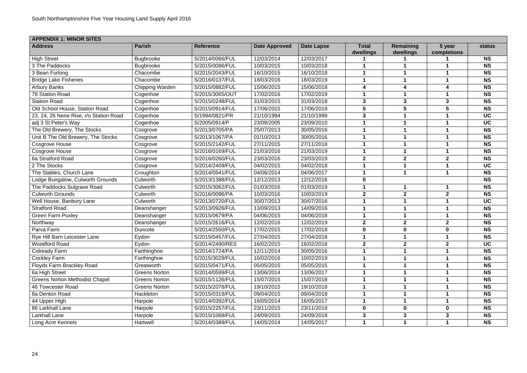| <b>APPENDIX 1: MINOR SITES</b>         |                      |                  |                      |                   |                           |                        |                       |               |  |
|----------------------------------------|----------------------|------------------|----------------------|-------------------|---------------------------|------------------------|-----------------------|---------------|--|
| <b>Address</b>                         | <b>Parish</b>        | <b>Reference</b> | <b>Date Approved</b> | <b>Date Lapse</b> | <b>Total</b><br>dwellings | Remaining<br>dwellings | 5 year<br>completions | <b>status</b> |  |
| <b>High Street</b>                     | <b>Bugbrooke</b>     | S/2014/0066/FUL  | 12/03/2014           | 12/03/2017        |                           |                        |                       | <b>NS</b>     |  |
| 3 The Paddocks                         | <b>Bugbrooke</b>     | S/2015/0086/FUL  | 10/03/2015           | 10/03/2018        |                           |                        |                       | <b>NS</b>     |  |
| 3 Bean Furlong                         | Chacombe             | S/2015/2043/FUL  | 16/10/2015           | 16/10/2018        |                           |                        |                       | <b>NS</b>     |  |
| <b>Bridge Lake Fisheries</b>           | Chacombe             | S/2016/0137/FUL  | 18/03/2016           | 18/03/2019        |                           |                        |                       | <b>NS</b>     |  |
| <b>Arbury Banks</b>                    | Chipping Warden      | S/2015/0882/FUL  | 15/06/2015           | 15/06/2018        | $\boldsymbol{4}$          | 4                      |                       | <b>NS</b>     |  |
| 78 Station Road                        | Cogenhoe             | S/2015/3065/OUT  | 17/02/2016           | 17/02/2019        |                           |                        |                       | <b>NS</b>     |  |
| <b>Station Road</b>                    | Cogenhoe             | S/2015/0248/FUL  | 31/03/2015           | 31/03/2018        | $\mathbf{3}$              | 3                      | $\mathbf{3}$          | <b>NS</b>     |  |
| Old School House, Station Road         | Cogenhoe             | S/2015/0914/FUL  | 17/06/2015           | 17/06/2018        | 5                         | 5                      | 5                     | <b>NS</b>     |  |
| 23, 24, 26 Nene Rise, r/o Station Road | Cogenhoe             | S/1994/0821/PR   | 21/10/1994           | 21/10/1999        | $\mathbf{3}$              |                        |                       | <b>UC</b>     |  |
| adj 3 St Peter's Way                   | Cogenhoe             | S/2005/0914/P    | 23/09/2005           | 23/09/2010        |                           |                        |                       | <b>UC</b>     |  |
| The Old Brewery, The Stocks            | Cosgrove             | S/2013/0705/PA   | 25/07/2013           | 30/05/2016        |                           |                        |                       | <b>NS</b>     |  |
| Unit B The Old Brewery, The Stocks     | Cosgrove             | S/2013/1067/PA   | 01/10/2013           | 30/05/2016        |                           |                        |                       | <b>NS</b>     |  |
| <b>Cosgrove House</b>                  | Cosgrove             | S/2015/2142/FUL  | 27/11/2015           | 27/11/2018        |                           |                        |                       | <b>NS</b>     |  |
| <b>Cosgrove House</b>                  | Cosgrove             | S/2016/0169/FUL  | 21/03/2016           | 21/03/2019        |                           |                        |                       | <b>NS</b>     |  |
| 6a Stratford Road                      | Cosgrove             | S/2016/0260/FUL  | 23/03/2016           | 23/03/2019        | 2 <sup>2</sup>            | $\boldsymbol{2}$       | $\overline{2}$        | <b>NS</b>     |  |
| 2 The Stocks                           | Cosgrove             | S/2014/2409/FUL  | 04/02/2015           | 04/02/2018        |                           |                        |                       | <b>UC</b>     |  |
| The Stables, Church Lane               | Croughton            | S/2014/0541/FUL  | 04/06/2014           | 04/06/2017        |                           |                        |                       | <b>NS</b>     |  |
| Lodge Bungalow, Culworth Grounds       | Culworth             | S/2013/1388/FUL  | 12/12/2013           | 12/12/2016        | $\mathbf 0$               |                        |                       | <b>NS</b>     |  |
| The Paddocks Sulgrave Road             | Culworth             | S/2015/3062/FUL  | 01/03/2016           | 01/03/2019        |                           |                        |                       | <b>NS</b>     |  |
| <b>Culworth Grounds</b>                | Culworth             | S/2016/0096/PA   | 10/03/2016           | 10/03/2019        | $\boldsymbol{2}$          | $\mathbf{2}$           | $\mathbf{2}$          | <b>NS</b>     |  |
| Well House, Banbury Lane               | Culworth             | S/2013/0720/FUL  | 30/07/2013           | 30/07/2016        |                           |                        |                       | <b>UC</b>     |  |
| <b>Stratford Road</b>                  | Deanshanger          | S/2013/0926/FUL  | 13/09/2013           | 14/09/2016        |                           |                        |                       | <b>NS</b>     |  |
| <b>Green Farm Puxley</b>               | Deanshanger          | S/2015/0679/PA   | 04/06/2015           | 04/06/2018        |                           |                        |                       | <b>NS</b>     |  |
| Northway                               | Deanshanger          | S/2015/2616/FUL  | 12/02/2016           | 12/02/2019        | $\boldsymbol{2}$          | $\mathbf{2}$           | $\boldsymbol{2}$      | <b>NS</b>     |  |
| Parva Farm                             | Duncote              | S/2014/2550/FUL  | 17/02/2015           | 17/02/2018        | $\bf{0}$                  | $\bf{0}$               | $\mathbf 0$           | <b>NS</b>     |  |
| Rye Hill Barn Leicester Lane           | Eydon                | S/2015/0457/FUL  | 27/04/2015           | 27/04/2018        |                           |                        |                       | <b>NS</b>     |  |
| <b>Woodford Road</b>                   | Eydon                | S/2014/2490/RES  | 16/02/2015           | 16/02/2018        | $\overline{2}$            | $\mathbf{2}$           | $\mathbf{2}$          | <b>UC</b>     |  |
| <b>Colready Farm</b>                   | Farthinghoe          | S/2014/1724/PA   | 12/11/2014           | 30/05/2016        |                           |                        |                       | <b>NS</b>     |  |
| <b>Cockley Farm</b>                    | Farthinghoe          | S/2015/3029/FUL  | 10/02/2016           | 10/02/2019        |                           |                        |                       | <b>NS</b>     |  |
| Floyds Farm Brackley Road              | Greatworth           | S/2015/0471/FUL  | 05/05/2015           | 05/05/2015        |                           |                        |                       | <b>NS</b>     |  |
| 6a High Street                         | <b>Greens Norton</b> | S/2014/0599/FUL  | 13/06/2014           | 13/06/2017        |                           |                        |                       | <b>NS</b>     |  |
| <b>Greens Norton Methodist Chapel</b>  | <b>Greens Norton</b> | S/2015/1126/FUL  | 15/07/2015           | 15/07/2018        |                           |                        |                       | <b>NS</b>     |  |
| 46 Towcester Road                      | <b>Greens Norton</b> | S/2015/2078/FUL  | 19/10/2015           | 19/10/2018        |                           |                        |                       | <b>NS</b>     |  |
| 8a Denton Road                         | Hackleton            | S/2015/0319/FUL  | 09/04/2015           | 09/04/2018        |                           |                        |                       | <b>NS</b>     |  |
| 44 Upper High                          | Harpole              | S/2014/0392/FUL  | 16/05/2014           | 16/05/2017        |                           |                        |                       | <b>NS</b>     |  |
| 86 Larkhall Lane                       | Harpole              | S/2015/2257/FUL  | 23/11/2015           | 23/11/2018        | $\bf{0}$                  | $\bf{0}$               | $\bf{0}$              | <b>NS</b>     |  |
| <b>Larkhall Lane</b>                   | Harpole              | S/2015/1068/FUL  | 24/09/2015           | 24/09/2018        | $\mathbf{3}$              | 3                      | 3                     | <b>NS</b>     |  |
| Long Acre Kennels                      | Hartwell             | S/2014/0389/FUL  | 14/05/2014           | 14/05/2017        |                           |                        |                       | <b>NS</b>     |  |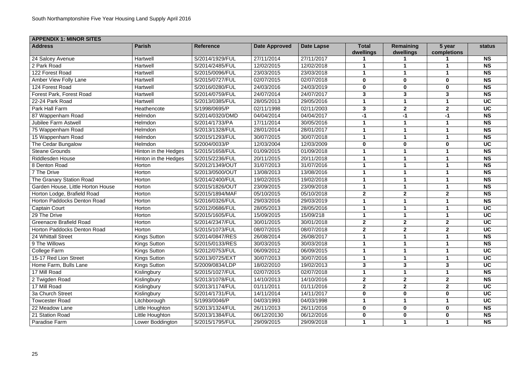| <b>APPENDIX 1: MINOR SITES</b>    |                      |                  |                      |                   |                           |                        |                       |               |
|-----------------------------------|----------------------|------------------|----------------------|-------------------|---------------------------|------------------------|-----------------------|---------------|
| <b>Address</b>                    | <b>Parish</b>        | <b>Reference</b> | <b>Date Approved</b> | <b>Date Lapse</b> | <b>Total</b><br>dwellings | Remaining<br>dwellings | 5 year<br>completions | <b>status</b> |
| 24 Salcey Avenue                  | Hartwell             | S/2014/1929/FUL  | 27/11/2014           | 27/11/2017        |                           |                        |                       | <b>NS</b>     |
| 2 Park Road                       | Hartwell             | S/2014/2485/FUL  | 12/02/2015           | 12/02/2018        |                           |                        |                       | <b>NS</b>     |
| 122 Forest Road                   | Hartwell             | S/2015/0096/FUL  | 23/03/2015           | 23/03/2018        |                           |                        |                       | <b>NS</b>     |
| <b>Amber View Folly Lane</b>      | Hartwell             | S/2015/0727/FUL  | 02/07/2015           | 02/07/2018        | $\mathbf 0$               | $\mathbf 0$            | $\bf{0}$              | <b>NS</b>     |
| 124 Forest Road                   | Hartwell             | S/2016/0280/FUL  | 24/03/2016           | 24/03/2019        | $\boldsymbol{0}$          | $\mathbf 0$            | $\mathbf 0$           | <b>NS</b>     |
| Forest Park, Forest Road          | Hartwell             | S/2014/0759/FUL  | 24/07/2014           | 24/07/2017        | $\mathbf{3}$              | 3                      | $\mathbf{3}$          | <b>NS</b>     |
| 22-24 Park Road                   | Hartwell             | S/2013/0385/FUL  | 28/05/2013           | 29/05/2016        |                           |                        |                       | <b>UC</b>     |
| Park Hall Farm                    | Heathencote          | S/1998/0695/P    | 02/11/1998           | 02/11/2003        | $\mathbf{3}$              | $\boldsymbol{2}$       | $\mathbf{2}$          | <b>UC</b>     |
| 87 Wappenham Road                 | Helmdon              | S/2014/0320/DMD  | 04/04/2014           | 04/04/2017        | -1                        | $-1$                   | $-1$                  | <b>NS</b>     |
| Jubilee Farm Astwell              | Helmdon              | S/2014/1733/PA   | 17/11/2014           | 30/05/2016        | -1                        |                        |                       | <b>NS</b>     |
| 75 Wappenham Road                 | Helmdon              | S/2013/1328/FUL  | 28/01/2014           | 28/01/2017        |                           |                        |                       | <b>NS</b>     |
| 15 Wappenham Road                 | Helmdon              | S/2015/1293/FUL  | 30/07/2015           | 30/07/2018        |                           |                        |                       | <b>NS</b>     |
| The Cedar Bungalow                | Helmdon              | S/2004/0033/P    | 12/03/2004           | 12/03/2009        | $\boldsymbol{0}$          | $\mathbf 0$            | $\bf{0}$              | <b>UC</b>     |
| <b>Steane Grounds</b>             | Hinton in the Hedges | S/2015/1658/FUL  | 01/09/2015           | 01/09/2018        |                           |                        |                       | <b>NS</b>     |
| <b>Riddlesden House</b>           | Hinton in the Hedges | S/2015/2236/FUL  | 20/11/2015           | 20/11/2018        |                           |                        |                       | <b>NS</b>     |
| 8 Denton Road                     | Horton               | S/2012/1349/OUT  | 31/07/2013           | 31/07/2016        |                           |                        |                       | <b>NS</b>     |
| 7 The Drive                       | Horton               | S/2013/0500/OUT  | 13/08/2013           | 13/08/2016        |                           |                        |                       | <b>NS</b>     |
| The Granary Station Road          | Horton               | S/2014/2400/FUL  | 19/02/2015           | 19/02/2018        |                           |                        |                       | <b>NS</b>     |
| Garden House, Little Horton House | Horton               | S/2015/1826/OUT  | 23/09/2015           | 23/09/2018        | -1                        |                        |                       | <b>NS</b>     |
| Horton Lodge, Brafield Road       | Horton               | S/2015/1894/MAF  | 05/10/2015           | 05/10/2018        | $\mathbf{2}$              | $\mathbf{2}$           | $\overline{2}$        | <b>NS</b>     |
| Horton Paddocks Denton Road       | Horton               | S/2016/0326/FUL  | 29/03/2016           | 29/03/2019        |                           |                        |                       | <b>NS</b>     |
| <b>Captain Court</b>              | Horton               | S/2012/0686/FUL  | 28/05/2013           | 28/05/2016        |                           |                        |                       | <b>UC</b>     |
| 29 The Drive                      | Horton               | S/2015/1605/FUL  | 15/09/2015           | 15/09/218         |                           |                        |                       | <b>UC</b>     |
| <b>Greenacre Brafield Road</b>    | Horton               | S/2014/2347/FUL  | 30/01/2015           | 30/01/2018        | $\boldsymbol{2}$          | $\mathbf{2}$           | $\overline{2}$        | <b>UC</b>     |
| Horton Paddocks Denton Road       | Horton               | S/2015/1073/FUL  | 08/07/2015           | 08/07/2018        | $\mathbf{2}$              | $\mathbf{2}$           | $\boldsymbol{2}$      | <b>UC</b>     |
| 24 Whittall Street                | <b>Kings Sutton</b>  | S/2014/0847/RES  | 26/08/2014           | 26/08/2017        |                           |                        |                       | <b>NS</b>     |
| 9 The Willows                     | <b>Kings Sutton</b>  | S/2015/0133/RES  | 30/03/2015           | 30/03/2018        |                           |                        |                       | <b>NS</b>     |
| <b>College Farm</b>               | <b>Kings Sutton</b>  | S/2012/0753/FUL  | 06/09/2012           | 06/09/2015        |                           |                        |                       | <b>UC</b>     |
| 15-17 Red Lion Street             | <b>Kings Sutton</b>  | S/2013/0725/EXT  | 30/07/2013           | 30/07/2016        |                           |                        |                       | <b>UC</b>     |
| Home Farm, Bulls Lane             | <b>Kings Sutton</b>  | S/2009/0834/LDP  | 18/02/2010           | 19/02/2013        | $\mathbf{3}$              | $\mathbf{3}$           | $\mathbf{3}$          | <b>UC</b>     |
| 17 Mill Road                      | Kislingbury          | S/2015/1027/FUL  | 02/07/2015           | 02/07/2018        |                           |                        |                       | <b>NS</b>     |
| 2 Twigden Road                    | Kislingbury          | S/2013/1078/FUL  | 14/10/2013           | 14/10/2016        | $\overline{2}$            | $\mathbf{2}$           | $\mathbf{2}$          | <b>NS</b>     |
| 17 Mill Road                      | Kislingbury          | S/2013/1174/FUL  | 01/11/2011           | 01/11/2016        | $\mathbf{2}$              | $\mathbf{2}$           | $\mathbf{2}$          | <b>UC</b>     |
| 3a Church Street                  | Kislingbury          | S/2014/1731/FUL  | 14/11/2014           | 14/11/2017        | $\boldsymbol{0}$          | $\mathbf 0$            | $\mathbf 0$           | <b>UC</b>     |
| <b>Towcester Road</b>             | Litchborough         | S/1993/0046/P    | 04/03/1993           | 04/03/1998        |                           |                        |                       | <b>UC</b>     |
| 22 Meadow Lane                    | Little Houghton      | S/2013/1324/FUL  | 26/11/2013           | 26/11/2016        | $\mathbf 0$               | $\mathbf 0$            | $\mathbf 0$           | <b>NS</b>     |
| 21 Station Road                   | Little Houghton      | S/2013/1384/FUL  | 06/12/20130          | 06/12/2016        | $\mathbf 0$               | $\mathbf 0$            | $\mathbf 0$           | <b>NS</b>     |
| Paradise Farm                     | Lower Boddington     | S/2015/1795/FUL  | 29/09/2015           | 29/09/2018        | 1                         |                        |                       | <b>NS</b>     |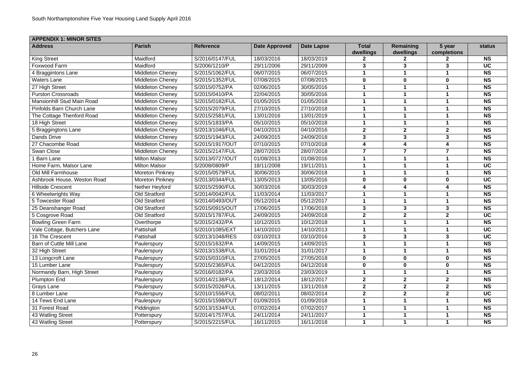| <b>APPENDIX 1: MINOR SITES</b>    |                         |                  |                      |                   |                           |                        |                       |               |
|-----------------------------------|-------------------------|------------------|----------------------|-------------------|---------------------------|------------------------|-----------------------|---------------|
| <b>Address</b>                    | <b>Parish</b>           | <b>Reference</b> | <b>Date Approved</b> | <b>Date Lapse</b> | <b>Total</b><br>dwellings | Remaining<br>dwellings | 5 year<br>completions | <b>status</b> |
| <b>King Street</b>                | Maidford                | S/2016/0147/FUL  | 18/03/2016           | 18/03/2019        |                           | 2                      |                       | <b>NS</b>     |
| Foxwood Farm                      | Maidford                | S/2006/1210/P    | 29/11/2006           | 29/11/2009        | 3                         | 3                      | 3                     | <b>UC</b>     |
| 4 Braggintons Lane                | <b>Middleton Cheney</b> | S/2015/1062/FUL  | 06/07/2015           | 06/07/2015        |                           |                        |                       | <b>NS</b>     |
| <b>Waters Lane</b>                | <b>Middleton Cheney</b> | S/2015/1352/FUL  | 07/08/2015           | 07/08/2015        | $\bf{0}$                  | $\bf{0}$               | $\bf{0}$              | <b>NS</b>     |
| 27 High Street                    | <b>Middleton Cheney</b> | S/2015/0752/PA   | 02/06/2015           | 30/05/2016        |                           |                        |                       | <b>NS</b>     |
| <b>Purston Crossroads</b>         | <b>Middleton Cheney</b> | S/2015/0410/PA   | 22/04/2015           | 30/05/2016        |                           |                        |                       | <b>NS</b>     |
| <b>Mansionhill Stud Main Road</b> | <b>Middleton Cheney</b> | S/2015/0182/FUL  | 01/05/2015           | 01/05/2018        |                           |                        |                       | <b>NS</b>     |
| <b>Pinfolds Barn Church Lane</b>  | <b>Middleton Cheney</b> | S/2015/2079/FUL  | 27/10/2015           | 27/10/2018        |                           |                        |                       | <b>NS</b>     |
| The Cottage Thenford Road         | <b>Middleton Cheney</b> | S/2015/2581/FUL  | 13/01/2016           | 13/01/2019        |                           |                        |                       | <b>NS</b>     |
| 18 High Street                    | <b>Middleton Cheney</b> | S/2015/1833/PA   | 05/10/2015           | 05/10/2018        |                           |                        |                       | <b>NS</b>     |
| 5 Braggingtons Lane               | <b>Middleton Cheney</b> | S/2013/1046/FUL  | 04/10/2013           | 04/10/2016        | $\mathbf{2}$              | $\boldsymbol{2}$       | $\mathbf{2}$          | <b>NS</b>     |
| <b>Dands Drive</b>                | Middleton Cheney        | S/2015/1943/FUL  | 24/09/2015           | 24/09/2018        | $\mathbf{3}$              | 3                      | $\mathbf{3}$          | <b>NS</b>     |
| 27 Chacombe Road                  | <b>Middleton Cheney</b> | S/2015/1917/OUT  | 07/10/2015           | 07/10/2018        | 4                         | 4                      | 4                     | <b>NS</b>     |
| <b>Swan Close</b>                 | <b>Middleton Cheney</b> | S/2015/2147/FUL  | 28/07/2015           | 28/07/2018        | 7                         |                        |                       | <b>NS</b>     |
| 1 Barn Lane                       | <b>Milton Malsor</b>    | S/2013/0727/OUT  | 01/08/2013           | 01/08/2016        |                           |                        |                       | <b>NS</b>     |
| Home Farm, Malsor Lane            | <b>Milton Malsor</b>    | S/2008/0809/P    | 18/11/2008           | 19/11/2011        |                           |                        |                       | <b>UC</b>     |
| Old Mill Farmhouse                | <b>Moreton Pinkney</b>  | S/2015/0579/FUL  | 30/06/2015           | 30/06/2018        |                           |                        |                       | <b>NS</b>     |
| Ashbrook House, Weston Road       | <b>Moreton Pinkney</b>  | S/2013/0344/FUL  | 13/05/2013           | 13/05/2016        | $\bf{0}$                  | $\bf{0}$               | $\bf{0}$              | <b>UC</b>     |
| <b>Hillside Crescent</b>          | Nether Heyford          | S/2015/2590/FUL  | 30/03/2016           | 30/03/2019        |                           |                        |                       | <b>NS</b>     |
| 6 Wheelwrights Way                | <b>Old Stratford</b>    | S/2014/0042/FUL  | 11/03/2014           | 11/03/2017        |                           |                        |                       | <b>NS</b>     |
| 5 Towcester Road                  | Old Stratford           | S/2014/0493/OUT  | 05/12/2014           | 05/12/2017        |                           |                        |                       | <b>NS</b>     |
| 25 Deanshanger Road               | <b>Old Stratford</b>    | S/2015/0915/OUT  | 17/06/2015           | 17/06/2018        | $\mathbf{3}$              | 3                      | $\mathbf{3}$          | <b>NS</b>     |
| 5 Cosgrove Road                   | <b>Old Stratford</b>    | S/2015/1787/FUL  | 24/09/2015           | 24/09/2018        | $\boldsymbol{2}$          | $\boldsymbol{2}$       | $\boldsymbol{2}$      | <b>UC</b>     |
| <b>Bowling Green Farm</b>         | Overthorpe              | S/2015/2432/PA   | 10/12/2015           | 10/12/2018        |                           |                        |                       | <b>NS</b>     |
| Vale Cottage, Butchers Lane       | Pattishall              | S/2010/1085/EXT  | 14/10/2010           | 14/10/2013        |                           |                        |                       | <b>UC</b>     |
| 16 The Crescent                   | Pattishall              | S/2013/1048/RES  | 03/10/2013           | 03/10/2016        | 3                         | 3                      | 3                     | <b>UC</b>     |
| <b>Barn of Cuttle Mill Lane</b>   | Paulerspury             | S/2015/1632/PA   | 14/09/2015           | 14/09/2015        |                           |                        |                       | <b>NS</b>     |
| 32 High Street                    | Paulerspury             | S/2013/1538/FUL  | 31/01/2014           | 31/01/2017        |                           |                        |                       | <b>NS</b>     |
| 13 Longcroft Lane                 | Paulerspury             | S/2015/0310/FUL  | 27/05/2015           | 27/05/2018        | $\bf{0}$                  | $\mathbf 0$            | $\bf{0}$              | <b>NS</b>     |
| 15 Lumber Lane                    | Paulerspury             | S/2015/2365/FUL  | 04/12/2015           | 04/12/2018        | $\mathbf 0$               | $\mathbf 0$            | $\mathbf 0$           | <b>NS</b>     |
| Normandy Barn, High Street        | Paulerspury             | S/2016/0182/PA   | 23/03/2016           | 23/03/2019        |                           |                        |                       | <b>NS</b>     |
| <b>Plumpton End</b>               | Paulerspury             | S/2014/2138/FUL  | 18/12/2014           | 18/12/2017        | $\overline{2}$            | $\mathbf{2}$           | $\mathbf{2}$          | <b>NS</b>     |
| Grays Lane                        | Paulerspury             | S/2015/2026/FUL  | 13/11/2015           | 13/11/2018        | $\mathbf{2}$              | $\mathbf{2}$           | $\mathbf{2}$          | <b>NS</b>     |
| 8 Lumber Lane                     | Paulerspury             | S/2010/1556/FUL  | 08/02/2011           | 08/02/2014        | $\mathbf{2}$              | $\mathbf{2}$           | $\mathbf{2}$          | <b>UC</b>     |
| 14 Tews End Lane                  | Paulespury              | S/2015/1598/OUT  | 01/09/2015           | 01/09/2018        |                           |                        |                       | <b>NS</b>     |
| 31 Forest Road                    | Piddington              | S/2013/1534/FUL  | 07/02/2014           | 07/02/2017        |                           |                        |                       | <b>NS</b>     |
| 43 Watling Street                 | Potterspury             | S/2014/1757/FUL  | 24/11/2014           | 24/11/2017        | -1                        |                        |                       | <b>NS</b>     |
| 43 Watling Street                 | Potterspury             | S/2015/2215/FUL  | 16/11/2015           | 16/11/2018        | $\mathbf 1$               |                        | 1                     | <b>NS</b>     |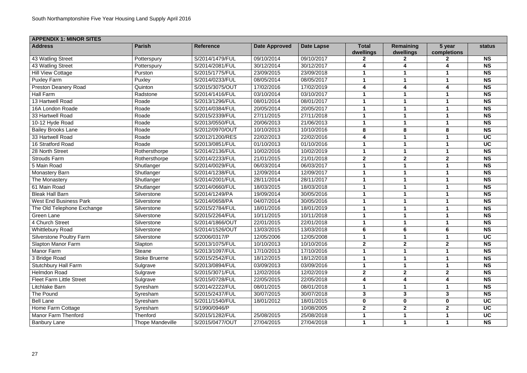| <b>APPENDIX 1: MINOR SITES</b>  |                         |                  |                      |                   |                           |                        |                       |               |
|---------------------------------|-------------------------|------------------|----------------------|-------------------|---------------------------|------------------------|-----------------------|---------------|
| <b>Address</b>                  | <b>Parish</b>           | <b>Reference</b> | <b>Date Approved</b> | <b>Date Lapse</b> | <b>Total</b><br>dwellings | Remaining<br>dwellings | 5 year<br>completions | <b>status</b> |
| 43 Watling Street               | Potterspury             | S/2014/1479/FUL  | 09/10/2014           | 09/10/2017        |                           |                        |                       | <b>NS</b>     |
| 43 Watling Street               | Potterspury             | S/2014/2081/FUL  | 30/12/2014           | 30/12/2017        |                           |                        |                       | <b>NS</b>     |
| <b>Hill View Cottage</b>        | Purston                 | S/2015/1775/FUL  | 23/09/2015           | 23/09/2018        |                           |                        |                       | <b>NS</b>     |
| <b>Puxley Farm</b>              | Puxley                  | S/2014/0233/FUL  | 08/05/2014           | 08/05/2017        |                           |                        |                       | <b>NS</b>     |
| <b>Preston Deanery Road</b>     | Quinton                 | S/2015/3075/OUT  | 17/02/2016           | 17/02/2019        | $\overline{\mathbf{4}}$   | 4                      |                       | <b>NS</b>     |
| Hall Farm                       | Radstone                | S/2014/1416/FUL  | 03/10/2014           | 03/10/2017        |                           |                        |                       | <b>NS</b>     |
| 13 Hartwell Road                | Roade                   | S/2013/1296/FUL  | 08/01/2014           | 08/01/2017        |                           |                        |                       | <b>NS</b>     |
| 16A London Roade                | Roade                   | S/2014/0384/FUL  | 20/05/2014           | 20/05/2017        |                           |                        |                       | <b>NS</b>     |
| 33 Hartwell Road                | Roade                   | S/2015/2339/FUL  | 27/11/2015           | 27/11/2018        |                           |                        |                       | <b>NS</b>     |
| 10-12 Hyde Road                 | Roade                   | S/2013/0550/FUL  | 20/06/2013           | 21/06/2013        |                           |                        |                       | <b>NS</b>     |
| <b>Bailey Brooks Lane</b>       | Roade                   | S/2012/0970/OUT  | 10/10/2013           | 10/10/2016        | 8                         | 8                      | 8                     | <b>NS</b>     |
| 33 Hartwell Road                | Roade                   | S/2012/1200/RES  | 22/02/2013           | 22/02/2016        | 4                         |                        |                       | <b>UC</b>     |
| 16 Stratford Road               | Roade                   | S/2013/0851/FUL  | 01/10/2013           | 01/10/2016        |                           |                        |                       | <b>UC</b>     |
| 28 North Street                 | Rothersthorpe           | S/2014/2136/FUL  | 10/02/2016           | 10/02/2019        |                           |                        |                       | <b>NS</b>     |
| <b>Strouds Farm</b>             | Rothersthorpe           | S/2014/2233/FUL  | 21/01/2015           | 21/01/2018        | $\overline{2}$            | $\mathbf{2}$           | $\overline{2}$        | <b>NS</b>     |
| 5 Main Road                     | Shutlanger              | S/2014/0029/FUL  | 06/03/2014           | 06/03/2017        |                           |                        |                       | <b>NS</b>     |
| <b>Monastery Barn</b>           | Shutlanger              | S/2014/1238/FUL  | 12/09/2014           | 12/09/2017        |                           |                        |                       | <b>NS</b>     |
| The Monastery                   | Shutlanger              | S/2014/2001/FUL  | 28/11/2014           | 28/11/2017        |                           |                        |                       | <b>NS</b>     |
| 61 Main Road                    | Shutlanger              | S/2014/0660/FUL  | 18/03/2015           | 18/03/2018        |                           |                        |                       | <b>NS</b>     |
| <b>Bleak Hall Barn</b>          | Silverstone             | S/2014/1249/PA   | 19/09/2014           | 30/05/2016        |                           |                        |                       | <b>NS</b>     |
| <b>West End Business Park</b>   | Silverstone             | S/2014/0658/PA   | 04/07/2014           | 30/05/2016        |                           |                        |                       | <b>NS</b>     |
| The Old Telephone Exchange      | Silverstone             | S/2015/2784/FUL  | 18/01/2016           | 18/01/2019        |                           |                        |                       | <b>NS</b>     |
| <b>Green Lane</b>               | Silverstone             | S/2015/2264/FUL  | 10/11/2015           | 10/11/2018        |                           |                        |                       | <b>NS</b>     |
| 4 Church Street                 | Silverstone             | S/2014/1866/OUT  | 22/01/2015           | 22/01/2018        |                           |                        |                       | <b>NS</b>     |
| <b>Whittlebury Road</b>         | Silverstone             | S/2014/1526/OUT  | 13/03/2015           | 13/03/2018        | 6                         | 6                      | 6                     | <b>NS</b>     |
| <b>Silverstone Poultry Farm</b> | Silverstone             | S/2006/0317/P    | 12/05/2006           | 12/05/2008        |                           |                        |                       | <b>UC</b>     |
| <b>Slapton Manor Farm</b>       | Slapton                 | S/2013/1075/FUL  | 10/10/2013           | 10/10/2016        | $\overline{2}$            | $\mathbf{2}$           | $\overline{2}$        | <b>NS</b>     |
| Manor Farm                      | <b>Steane</b>           | S/2013/1097/FUL  | 17/10/2013           | 17/10/2016        |                           |                        |                       | <b>NS</b>     |
| 3 Bridge Road                   | <b>Stoke Bruerne</b>    | S/2015/2542/FUL  | 18/12/2015           | 18/12/2018        |                           |                        |                       | <b>NS</b>     |
| <b>Stutchbury Hall Farm</b>     | Sulgrave                | S/2013/0894/FUL  | 03/09/2013           | 03/09/2016        |                           |                        |                       | <b>NS</b>     |
| Helmdon Road                    | Sulgrave                | S/2015/3071/FUL  | 12/02/2016           | 12/02/2019        | $\mathbf{2}$              | $\mathbf{2}$           | $\mathbf{2}$          | <b>NS</b>     |
| <b>Fleet Farm Little Street</b> | Sulgrave                | S/2015/0728/FUL  | 22/05/2015           | 22/05/2018        | 4                         | 4                      | 4                     | <b>NS</b>     |
| Litchlake Barn                  | Syresham                | S/2014/2222/FUL  | 08/01/2015           | 08/01/2018        |                           |                        |                       | <b>NS</b>     |
| The Pound                       | Syresham                | S/2015/2437/FUL  | 30/07/2015           | 30/07/2018        | $\mathbf{3}$              | 3                      | $\mathbf{3}$          | <b>NS</b>     |
| <b>Bell Lane</b>                | Syresham                | S/2011/1540/FUL  | 18/01/2012           | 18/01/2015        | $\mathbf 0$               | $\mathbf 0$            | $\mathbf 0$           | <b>UC</b>     |
| Home Farm Cottage               | Syresham                | S/1990/0946/P    |                      | 10/08/2005        | $\mathbf{2}$              | $\mathbf{2}$           | $\mathbf{2}$          | <b>UC</b>     |
| <b>Manor Farm Thenford</b>      | <b>Thenford</b>         | S/2015/1282/FUL  | 25/08/2015           | 25/08/2018        |                           |                        |                       | <b>UC</b>     |
| <b>Banbury Lane</b>             | <b>Thope Mandeville</b> | S/2015/0477/OUT  | 27/04/2015           | 27/04/2018        |                           |                        |                       | <b>NS</b>     |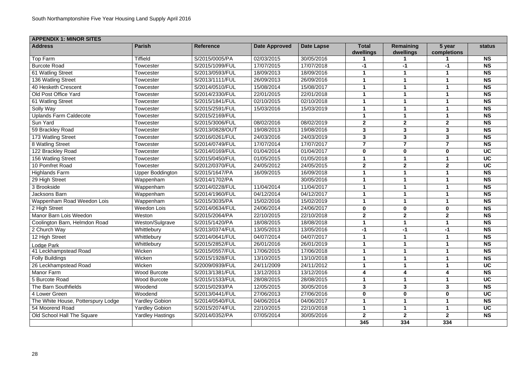| <b>APPENDIX 1: MINOR SITES</b>     |                         |                  |                      |                   |                           |                        |                       |               |  |  |  |  |
|------------------------------------|-------------------------|------------------|----------------------|-------------------|---------------------------|------------------------|-----------------------|---------------|--|--|--|--|
| <b>Address</b>                     | <b>Parish</b>           | <b>Reference</b> | <b>Date Approved</b> | <b>Date Lapse</b> | <b>Total</b><br>dwellings | Remaining<br>dwellings | 5 year<br>completions | <b>status</b> |  |  |  |  |
| Top Farm                           | <b>Tiffield</b>         | S/2015/0005/PA   | 02/03/2015           | 30/05/2016        |                           |                        |                       | <b>NS</b>     |  |  |  |  |
| <b>Burcote Road</b>                | Towcester               | S/2015/1099/FUL  | 17/07/2015           | 17/07/2018        | $-1$                      | $-1$                   | $-1$                  | <b>NS</b>     |  |  |  |  |
| 61 Watling Street                  | Towcester               | S/2013/0593/FUL  | 18/09/2013           | 18/09/2016        |                           |                        |                       | <b>NS</b>     |  |  |  |  |
| 136 Watling Street                 | Towcester               | S/2013/1111/FUL  | 26/09/2013           | 26/09/2016        |                           |                        |                       | <b>NS</b>     |  |  |  |  |
| 40 Hesketh Crescent                | Towcester               | S/2014/0510/FUL  | 15/08/2014           | 15/08/2017        |                           |                        |                       | <b>NS</b>     |  |  |  |  |
| Old Post Office Yard               | Towcester               | S/2014/2330/FUL  | 22/01/2015           | 22/01/2018        |                           |                        |                       | <b>NS</b>     |  |  |  |  |
| 61 Watling Street                  | Towcester               | S/2015/1841/FUL  | 02/10/2015           | 02/10/2018        |                           |                        |                       | <b>NS</b>     |  |  |  |  |
| Solly Way                          | Towcester               | S/2015/2591/FUL  | 15/03/2016           | 15/03/2019        |                           |                        |                       | <b>NS</b>     |  |  |  |  |
| <b>Uplands Farm Caldecote</b>      | Towcester               | S/2015/2169/FUL  |                      |                   |                           |                        |                       | <b>NS</b>     |  |  |  |  |
| Sun Yard                           | Towcester               | S/2015/3006/FUL  | 08/02/2016           | 08/02/2019        | $\mathbf{2}$              | $\mathbf{2}$           | $\mathbf{2}$          | <b>NS</b>     |  |  |  |  |
| 59 Brackley Road                   | Towcester               | S/2013/0828/OUT  | 19/08/2013           | 19/08/2016        | $\mathbf{3}$              | 3                      | $\mathbf{3}$          | <b>NS</b>     |  |  |  |  |
| 173 Watling Street                 | Towcester               | S/2016/0261/FUL  | 24/03/2016           | 24/03/2019        | $\mathbf{3}$              | $\mathbf{3}$           | $\mathbf{3}$          | <b>NS</b>     |  |  |  |  |
| 8 Watling Street                   | Towcester               | S/2014/0749/FUL  | 17/07/2014           | 17/07/2017        | $\overline{7}$            | 7                      | $\overline{7}$        | <b>NS</b>     |  |  |  |  |
| 122 Brackley Road                  | Towcester               | S/2014/0169/FUL  | 01/04/2014           | 01/04/2017        | $\bf{0}$                  | $\bf{0}$               | $\bf{0}$              | <b>UC</b>     |  |  |  |  |
| 156 Watling Street                 | Towcester               | S/2015/0450/FUL  | 01/05/2015           | 01/05/2018        |                           |                        |                       | <b>UC</b>     |  |  |  |  |
| 10 Pomfret Road                    | Towcester               | S/2012/0370/FUL  | 24/05/2012           | 24/05/2015        | $\mathbf{2}$              | $\mathbf{2}$           | $\mathbf{2}$          | <b>UC</b>     |  |  |  |  |
| <b>Highlands Farm</b>              | <b>Upper Boddington</b> | S/2015/1647/PA   | 16/09/2015           | 16/09/2018        |                           |                        |                       | <b>NS</b>     |  |  |  |  |
| 29 High Street                     | Wappenham               | S/2014/1702/PA   |                      | 30/05/2016        |                           |                        |                       | <b>NS</b>     |  |  |  |  |
| 3 Brookside                        | Wappenham               | S/2014/0228/FUL  | 11/04/2014           | 11/04/2017        |                           |                        |                       | <b>NS</b>     |  |  |  |  |
| Jacksons Barn                      | Wappenham               | S/2014/1960/FUL  | 04/12/2014           | 04/12/2017        |                           |                        |                       | <b>NS</b>     |  |  |  |  |
| Wappenham Road Weedon Lois         | Wappenham               | S/2015/3035/PA   | 15/02/2016           | 15/02/2019        |                           |                        |                       | <b>NS</b>     |  |  |  |  |
| 2 High Street                      | <b>Weedon Lois</b>      | S/2014/0634/FUL  | 24/06/2014           | 24/06/2017        | $\bf{0}$                  | $\mathbf 0$            | $\mathbf 0$           | <b>NS</b>     |  |  |  |  |
| Manor Barn Lois Weedon             | Weston                  | S/2015/2064/PA   | 22/10/2015           | 22/10/2018        | $\boldsymbol{2}$          | $\boldsymbol{2}$       | $\boldsymbol{2}$      | <b>NS</b>     |  |  |  |  |
| Coolington Barn, Helmdon Road      | Weston/Sulgrave         | S/2015/1420/PA   | 18/08/2015           | 18/08/2018        |                           |                        |                       | <b>NS</b>     |  |  |  |  |
| 2 Church Way                       | Whittlebury             | S/2013/0374/FUL  | 13/05/2013           | 13/05/2016        | $-1$                      | -1                     | -1                    | <b>NS</b>     |  |  |  |  |
| 12 High Street                     | Whittlebury             | S/2014/0641/FUL  | 04/07/2014           | 04/07/2017        |                           |                        |                       | <b>NS</b>     |  |  |  |  |
| Lodge Park                         | Whittlebury             | S/2015/2852/FUL  | 26/01/2016           | 26/01/2019        |                           |                        |                       | <b>NS</b>     |  |  |  |  |
| 41 Leckhampstead Road              | Wicken                  | S/2015/0557/FUL  | 17/06/2015           | 17/06/2018        |                           |                        |                       | <b>NS</b>     |  |  |  |  |
| <b>Folly Buildings</b>             | Wicken                  | S/2015/1928/FUL  | 13/10/2015           | 13/10/2018        |                           |                        |                       | <b>NS</b>     |  |  |  |  |
| 26 Leckhampstead Road              | Wicken                  | S/2009/0939/FUL  | 24/11/2009           | 24/11/2012        |                           |                        |                       | <b>UC</b>     |  |  |  |  |
| Manor Farm                         | <b>Wood Burcote</b>     | S/2013/1381/FUL  | 13/12/2013           | 13/12/2016        | 4                         | 4                      |                       | <b>NS</b>     |  |  |  |  |
| 5 Burcote Road                     | <b>Wood Burcote</b>     | S/2015/1533/FUL  | 28/08/2015           | 28/08/2015        |                           |                        |                       | <b>UC</b>     |  |  |  |  |
| The Barn Southfields               | Woodend                 | S/2015/0293/PA   | 12/05/2015           | 30/05/2016        | $\mathbf{3}$              | 3                      | $\mathbf{3}$          | <b>NS</b>     |  |  |  |  |
| 4 Lower Green                      | Woodend                 | S/2013/0441/FUL  | 27/06/2013           | 27/06/2016        | $\mathbf 0$               | $\mathbf 0$            | $\mathbf 0$           | <b>UC</b>     |  |  |  |  |
| The White House, Potterspury Lodge | <b>Yardley Gobion</b>   | S/2014/0540/FUL  | 04/06/2014           | 04/06/2017        |                           |                        |                       | <b>NS</b>     |  |  |  |  |
| 54 Moorend Road                    | <b>Yardley Gobion</b>   | S/2015/2074/FUL  | 22/10/2015           | 22/10/2018        |                           |                        |                       | <b>UC</b>     |  |  |  |  |
| Old School Hall The Square         | <b>Yardley Hastings</b> | S/2014/0352/PA   | 07/05/2014           | 30/05/2016        | $\mathbf{2}$              | 2 <sup>1</sup>         | $\overline{2}$        | <b>NS</b>     |  |  |  |  |
|                                    |                         |                  |                      |                   | 345                       | 334                    | 334                   |               |  |  |  |  |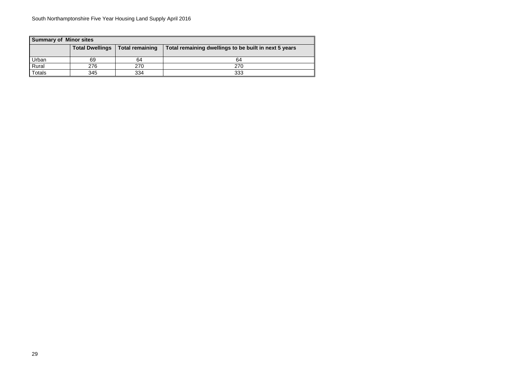| <b>Summary of Minor sites</b> |                        |                        |                                                       |  |  |  |  |  |  |  |  |  |
|-------------------------------|------------------------|------------------------|-------------------------------------------------------|--|--|--|--|--|--|--|--|--|
|                               | <b>Total Dwellings</b> | <b>Total remaining</b> | Total remaining dwellings to be built in next 5 years |  |  |  |  |  |  |  |  |  |
| Urban                         | 69                     | 64                     | 64                                                    |  |  |  |  |  |  |  |  |  |
| Rural                         | 276                    | 270                    | 270                                                   |  |  |  |  |  |  |  |  |  |
| Totals                        | 345                    | 334                    | 333                                                   |  |  |  |  |  |  |  |  |  |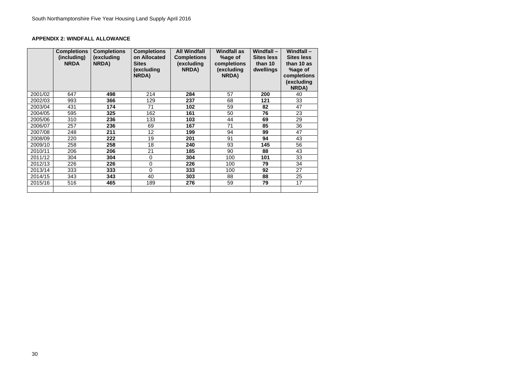#### **APPENDIX 2: WINDFALL ALLOWANCE**

|         | <b>Completions</b><br>(including)<br><b>NRDA</b> | <b>Completions</b><br>(excluding<br>NRDA) | <b>Completions</b><br>on Allocated<br><b>Sites</b><br>(excluding<br>NRDA) | <b>All Windfall</b><br><b>Completions</b><br>(excluding<br>NRDA) | <b>Windfall as</b><br>%age of<br>completions<br>(excluding<br>NRDA) | Windfall $-$<br><b>Sites less</b><br>than 10<br>dwellings | Windfall $-$<br><b>Sites less</b><br>than 10 as<br>%age of<br>completions<br>(excluding<br><b>NRDA)</b> |
|---------|--------------------------------------------------|-------------------------------------------|---------------------------------------------------------------------------|------------------------------------------------------------------|---------------------------------------------------------------------|-----------------------------------------------------------|---------------------------------------------------------------------------------------------------------|
| 2001/02 | 647                                              | 498                                       | 214                                                                       | 284                                                              | 57                                                                  | 200                                                       | 40                                                                                                      |
| 2002/03 | 993                                              | 366                                       | 129                                                                       | 237                                                              | 68                                                                  | 121                                                       | 33                                                                                                      |
| 2003/04 | 431                                              | 174                                       | 71                                                                        | 102                                                              | 59                                                                  | 82                                                        | 47                                                                                                      |
| 2004/05 | 595                                              | 325                                       | 162                                                                       | 161                                                              | 50                                                                  | 76                                                        | 23                                                                                                      |
| 2005/06 | 310                                              | 236                                       | 133                                                                       | 103                                                              | 44                                                                  | 69                                                        | 29                                                                                                      |
| 2006/07 | 257                                              | 236                                       | 69                                                                        | 167                                                              | 71                                                                  | 85                                                        | 36                                                                                                      |
| 2007/08 | 248                                              | 211                                       | 12                                                                        | 199                                                              | 94                                                                  | 99                                                        | 47                                                                                                      |
| 2008/09 | 220                                              | 222                                       | 19                                                                        | 201                                                              | 91                                                                  | 94                                                        | 43                                                                                                      |
| 2009/10 | 258                                              | 258                                       | 18                                                                        | 240                                                              | 93                                                                  | 145                                                       | 56                                                                                                      |
| 2010/11 | 206                                              | 206                                       | 21                                                                        | 185                                                              | 90                                                                  | 88                                                        | 43                                                                                                      |
| 2011/12 | 304                                              | 304                                       | $\mathbf 0$                                                               | 304                                                              | 100                                                                 | 101                                                       | 33                                                                                                      |
| 2012/13 | 226                                              | 226                                       | $\mathbf 0$                                                               | 226                                                              | 100                                                                 | 79                                                        | 34                                                                                                      |
| 2013/14 | 333                                              | 333                                       | $\mathbf 0$                                                               | 333                                                              | 100                                                                 | 92                                                        | 27                                                                                                      |
| 2014/15 | 343                                              | 343                                       | 40                                                                        | 303                                                              | 88                                                                  | 88                                                        | 25                                                                                                      |
| 2015/16 | 516                                              | 465                                       | 189                                                                       | 276                                                              | 59                                                                  | 79                                                        | 17                                                                                                      |
|         |                                                  |                                           |                                                                           |                                                                  |                                                                     |                                                           |                                                                                                         |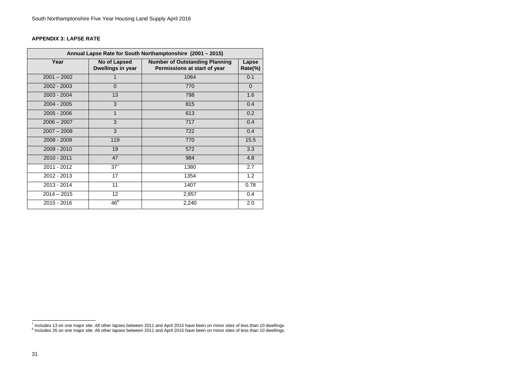#### **APPENDIX 3: LAPSE RATE**

| Annual Lapse Rate for South Northamptonshire (2001 - 2015) |                                   |                                                                       |                  |  |  |  |  |  |  |  |
|------------------------------------------------------------|-----------------------------------|-----------------------------------------------------------------------|------------------|--|--|--|--|--|--|--|
| Year                                                       | No of Lapsed<br>Dwellings in year | <b>Number of Outstanding Planning</b><br>Permissions at start of year | Lapse<br>Rate(%) |  |  |  |  |  |  |  |
| $2001 - 2002$                                              |                                   | 1064                                                                  | 0.1              |  |  |  |  |  |  |  |
| 2002 - 2003                                                | $\overline{0}$                    | 770                                                                   | $\overline{0}$   |  |  |  |  |  |  |  |
| $2003 - 2004$                                              | 13                                | 798                                                                   | 1.6              |  |  |  |  |  |  |  |
| $2004 - 2005$                                              | 3                                 | 815                                                                   | 0.4              |  |  |  |  |  |  |  |
| $2005 - 2006$                                              | $\mathbf{1}$                      | 613                                                                   | 0.2              |  |  |  |  |  |  |  |
| $2006 - 2007$                                              | 3                                 | 717                                                                   | 0.4              |  |  |  |  |  |  |  |
| $2007 - 2008$                                              | 3                                 | 722                                                                   | 0.4              |  |  |  |  |  |  |  |
| $2008 - 2009$                                              | 119                               | 770                                                                   | 15.5             |  |  |  |  |  |  |  |
| 2009 - 2010                                                | 19                                | 572                                                                   | 3.3              |  |  |  |  |  |  |  |
| 2010 - 2011                                                | 47                                | 984                                                                   | 4.8              |  |  |  |  |  |  |  |
| 2011 - 2012                                                | $37^7$                            | 1380                                                                  | 2.7              |  |  |  |  |  |  |  |
| 2012 - 2013                                                | 17                                | 1354                                                                  | 1.2              |  |  |  |  |  |  |  |
| 2013 - 2014                                                | 11                                | 1407                                                                  | 0.78             |  |  |  |  |  |  |  |
| $2014 - 2015$                                              | 12                                | 2,857                                                                 | 0.4              |  |  |  |  |  |  |  |
| 2015 - 2016                                                | $46^8$                            | 2,240                                                                 | 2.0              |  |  |  |  |  |  |  |

 $^7$  Includes 13 on one major site. All other lapses between 2011 and April 2015 have been on minor sites of less than 10 dwellings.<br><sup>8</sup> Includes 26 on one major site. All other lapses between 2011 and April 2015 have bee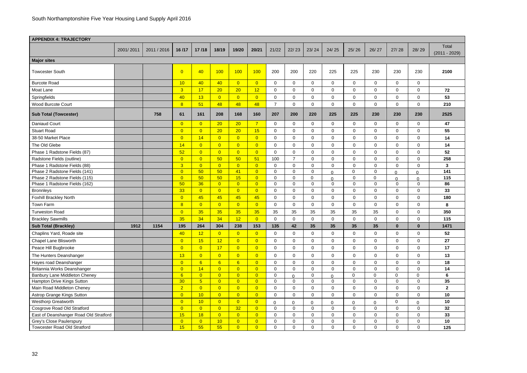| <b>APPENDIX 4: TRAJECTORY</b>          |           |             |                 |                 |                 |                |                |                |                |                |                |                |                |                |                |                          |
|----------------------------------------|-----------|-------------|-----------------|-----------------|-----------------|----------------|----------------|----------------|----------------|----------------|----------------|----------------|----------------|----------------|----------------|--------------------------|
|                                        | 2001/2011 | 2011 / 2016 | 16/17           | 17/18           | 18/19           | 19/20          | 20/21          | 21/22          | 22/23          | 23/24          | 24/25          | 25/26          | 26/27          | 27/28          | 28/29          | Total<br>$(2011 - 2029)$ |
| <b>Major sites</b>                     |           |             |                 |                 |                 |                |                |                |                |                |                |                |                |                |                |                          |
| <b>Towcester South</b>                 |           |             | $\overline{0}$  | 40              | 100             | 100            | 100            | 200            | 200            | 220            | 225            | 225            | 230            | 230            | 230            | 2100                     |
| <b>Burcote Road</b>                    |           |             | 10              | 40              | 40              | $\overline{0}$ | $\overline{0}$ | 0              | $\Omega$       | $\overline{0}$ | $\mathbf 0$    | $\Omega$       | $\mathbf 0$    | $\overline{0}$ | 0              |                          |
| Moat Lane                              |           |             | $\overline{3}$  | 17              | 20 <sub>2</sub> | 20             | 12             | $\overline{0}$ | 0              | $\mathbf 0$    | $\mathbf 0$    | 0              | $\mathbf 0$    | $\mathbf 0$    | 0              | 72                       |
| Springfields                           |           |             | 40              | 13              | $\overline{0}$  | $\overline{0}$ | $\overline{0}$ | $\mathbf 0$    | 0              | $\mathbf 0$    | $\pmb{0}$      | $\Omega$       | 0              | 0              | 0              | 53                       |
| <b>Wood Burcote Court</b>              |           |             | 8               | 51              | 48              | 48             | 48             | $\overline{7}$ | 0              | $\mathbf 0$    | $\pmb{0}$      | 0              | $\mathbf 0$    | $\mathbf 0$    | 0              | 210                      |
| <b>Sub Total (Towcester)</b>           |           | 758         | 61              | 161             | 208             | 168            | 160            | 207            | 200            | 220            | 225            | 225            | 230            | 230            | 230            | 2525                     |
| <b>Daniaud Court</b>                   |           |             | $\overline{0}$  | $\overline{0}$  | 20              | 20             | 7 <sup>1</sup> | $\mathbf 0$    | $\mathbf{0}$   | $\mathbf 0$    | $\mathbf 0$    | $\Omega$       | $\mathbf 0$    | $\mathbf 0$    | $\mathbf 0$    | 47                       |
| <b>Stuart Road</b>                     |           |             | $\overline{0}$  | $\overline{0}$  | 20              | 20             | 15             | $\mathbf 0$    | $\mathbf 0$    | $\overline{0}$ | $\mathbf 0$    | 0              | $\mathbf 0$    | $\mathbf 0$    | $\Omega$       | 55                       |
| 38-50 Market Place                     |           |             | $\overline{0}$  | 14              | $\overline{0}$  | $\overline{0}$ | $\overline{0}$ | $\overline{0}$ | $\mathbf 0$    | $\mathbf 0$    | $\mathbf 0$    | 0              | $\mathbf 0$    | $\mathbf 0$    | $\mathbf 0$    | 14                       |
| The Old Glebe                          |           |             | 14              | $\overline{0}$  | $\overline{0}$  | $\overline{0}$ | $\overline{0}$ | $\mathbf 0$    | 0              | $\mathbf 0$    | $\mathbf 0$    | $\Omega$       | 0              | 0              | $\Omega$       | 14                       |
| Phase 1 Radstone Fields (87)           |           |             | 52              | $\overline{0}$  | $\overline{0}$  | $\overline{0}$ | $\overline{0}$ | 0              | $\Omega$       | $\overline{0}$ | $\mathbf 0$    | 0              | $\mathbf 0$    | $\mathbf 0$    | $\Omega$       | 52                       |
| Radstone Fields (outline)              |           |             | $\overline{0}$  | $\overline{0}$  | 50              | 50             | 51             | 100            | $\overline{7}$ | $\mathbf 0$    | $\mathbf 0$    | 0              | 0              | 0              | $\mathbf 0$    | 258                      |
| Phase 1 Radstone Fields (88)           |           |             | 3 <sup>2</sup>  | $\overline{0}$  | $\overline{0}$  | $\overline{0}$ | $\overline{0}$ | $\overline{0}$ | $\overline{0}$ | $\overline{0}$ | $\mathbf 0$    | $\Omega$       | $\mathbf 0$    | $\mathbf 0$    | $\mathbf 0$    | 3                        |
| Phase 2 Radstone Fields (141)          |           |             | $\overline{0}$  | 50              | 50              | 41             | $\overline{0}$ | $\mathbf 0$    | 0              | $\mathbf 0$    | ∩              | $\Omega$       | 0              | 0              | $\Omega$       | 141                      |
| Phase 2 Radstone Fields (115)          |           |             | $\overline{0}$  | 50              | 50              | 15             | $\overline{0}$ | $\mathbf 0$    | $\mathbf 0$    | 0              | $\Omega$       | 0              | $\mathbf 0$    | $\Omega$       | $\Omega$       | 115                      |
| Phase 1 Radstone Fields (162)          |           |             | 50              | 36              | $\overline{0}$  | $\overline{0}$ | $\overline{0}$ | $\mathbf 0$    | 0              | $\overline{0}$ | $\mathbf 0$    | 0              | 0              | $\mathbf 0$    | $\mathbf{0}$   | 86                       |
| <b>Bronnleys</b>                       |           |             | 33              | $\overline{0}$  | $\overline{0}$  | $\overline{0}$ | $\overline{0}$ | 0              | 0              | $\mathbf 0$    | $\mathbf 0$    | $\Omega$       | 0              | $\mathbf 0$    | $\Omega$       | 33                       |
| <b>Foxhill Brackley North</b>          |           |             | $\overline{0}$  | 45              | 45              | 45             | 45             | $\mathbf 0$    | 0              | $\mathbf 0$    | $\pmb{0}$      | 0              | $\mathbf 0$    | $\mathbf 0$    | 0              | 180                      |
| Town Farm                              |           |             | 8               | $\overline{0}$  | $\overline{0}$  | $\overline{0}$ | $\overline{0}$ | $\mathbf 0$    | $\Omega$       | $\mathbf 0$    | $\mathbf 0$    | $\Omega$       | $\mathbf{0}$   | $\overline{0}$ | 0              | 8                        |
| <b>Turweston Road</b>                  |           |             | $\overline{0}$  | 35              | 35              | 35             | 35             | 35             | 35             | 35             | 35             | 35             | 35             | $\mathbf 0$    | 0              | 350                      |
| <b>Brackley Sawmills</b>               |           |             | 35              | 34              | 34              | 12             | $\overline{0}$ | $\overline{0}$ | $\mathbf 0$    | $\mathbf 0$    | $\mathbf 0$    | 0              | $\mathbf 0$    | $\mathbf 0$    | 0              | 115                      |
| <b>Sub Total (Brackley)</b>            | 1912      | 1154        | 195             | 264             | 304             | 238            | 153            | 135            | 42             | 35             | 35             | 35             | 35             | $\bf{0}$       | $\mathbf{0}$   | 1471                     |
| Chaplins Yard, Roade site              |           |             | 40              | 12              | $\overline{0}$  | $\overline{0}$ | $\Omega$       | 0              | $\Omega$       | $\Omega$       | $\Omega$       | $\Omega$       | ∩              | $\Omega$       | $\mathbf 0$    | 52                       |
| Chapel Lane Blisworth                  |           |             | $\overline{0}$  | 15              | 12              | $\overline{0}$ | $\overline{0}$ | $\overline{0}$ | $\mathbf 0$    | $\overline{0}$ | $\mathbf 0$    | $\Omega$       | $\mathbf 0$    | $\overline{0}$ | $\overline{0}$ | 27                       |
| Peace Hill Bugbrooke                   |           |             | $\overline{0}$  | $\overline{0}$  | 17              | $\overline{0}$ | $\overline{0}$ | $\overline{0}$ | $\overline{0}$ | $\mathbf 0$    | $\overline{0}$ | 0              | $\overline{0}$ | $\mathbf 0$    | $\overline{0}$ | 17                       |
| The Hunters Deanshanger                |           |             | 13              | $\overline{0}$  | $\overline{0}$  | $\overline{0}$ | $\overline{0}$ | $\overline{0}$ | $\mathbf 0$    | $\mathbf 0$    | $\mathbf 0$    | $\mathbf 0$    | $\overline{0}$ | $\overline{0}$ | $\overline{0}$ | 13                       |
| Hayes road Deanshanger                 |           |             | $\overline{0}$  | 6               | 6               | 6 <sup>1</sup> | $\overline{0}$ | $\overline{0}$ | $\mathbf 0$    | $\mathbf 0$    | $\overline{0}$ | 0              | $\overline{0}$ | $\mathbf 0$    | $\overline{0}$ | 18                       |
| Britannia Works Deanshanger            |           |             | $\overline{0}$  | 14              | $\overline{0}$  | $\overline{0}$ | $\overline{0}$ | $\overline{0}$ | $\overline{0}$ | $\overline{0}$ | $\pmb{0}$      | $\Omega$       | $\overline{0}$ | $\mathbf 0$    | $\overline{0}$ | 14                       |
| Banbury Lane Middleton Cheney          |           |             | 6               | $\overline{0}$  | $\overline{0}$  | $\overline{0}$ | $\overline{0}$ | $\overline{0}$ | $\Omega$       | $\mathbf 0$    | U              | $\overline{0}$ | $\mathbf 0$    | $\mathbf 0$    | 0              | 6                        |
| Hampton Drive Kings Sutton             |           |             | 30 <sup>°</sup> | $5\overline{)}$ | $\overline{0}$  | $\overline{0}$ | $\overline{0}$ | $\overline{0}$ | $\mathbf 0$    | $\mathbf 0$    | $\overline{0}$ | 0              | $\mathbf 0$    | $\mathbf 0$    | $\overline{0}$ | $35\phantom{a}$          |
| Main Road Middleton Cheney             |           |             | $\overline{2}$  | $\overline{0}$  | $\overline{0}$  | $\overline{0}$ | $\overline{0}$ | $\overline{0}$ | $\overline{0}$ | $\mathbf 0$    | $\mathbf 0$    | 0              | $\overline{0}$ | $\mathbf 0$    | $\overline{0}$ | $\overline{2}$           |
| Astrop Grange Kings Sutton             |           |             | $\overline{0}$  | 10              | $\overline{0}$  | $\overline{0}$ | $\overline{0}$ | $\overline{0}$ | $\overline{0}$ | $\mathbf 0$    | $\overline{0}$ | $\mathbf{0}$   | $\overline{0}$ | $\mathbf 0$    | $\overline{0}$ | 10                       |
| Westhorp Greatworth                    |           |             | $\overline{0}$  | 10              | $\overline{0}$  | $\overline{0}$ | $\overline{0}$ | $\overline{0}$ | 0              | 0              | 0              | 0              | $\pmb{0}$      | $\mathbf 0$    | $\Omega$       | 10                       |
| Cosgrove Road Old Stratford            |           |             | $\overline{0}$  | $\overline{0}$  | $\overline{0}$  | 32             | $\overline{0}$ | $\mathbf 0$    | $\overline{0}$ | $\mathbf 0$    | $\mathbf 0$    | $\overline{0}$ | $\mathbf{0}$   | $\mathbf 0$    | $\overline{0}$ | 32                       |
| East of Deanshanger Road Old Stratford |           |             | 15              | 18              | $\overline{0}$  | $\overline{0}$ | $\overline{0}$ | $\mathbf 0$    | $\mathbf 0$    | $\mathbf 0$    | $\overline{0}$ | 0              | $\overline{0}$ | $\mathbf 0$    | $\overline{0}$ | 33                       |
| Grey's Close Paulerspury               |           |             | $\overline{0}$  | $\overline{0}$  | 10              | $\overline{0}$ | $\overline{0}$ | $\overline{0}$ | $\overline{0}$ | $\mathbf 0$    | $\overline{0}$ | $\mathbf 0$    | $\overline{0}$ | $\overline{0}$ | $\overline{0}$ | 10                       |
| <b>Towcester Road Old Stratford</b>    |           |             | 15              | 55              | 55              | $\overline{0}$ | $\overline{0}$ | $\mathbf 0$    | $\mathbf 0$    | $\mathbf 0$    | $\overline{0}$ | $\overline{0}$ | $\mathbf 0$    | $\mathbf 0$    | $\overline{0}$ | 125                      |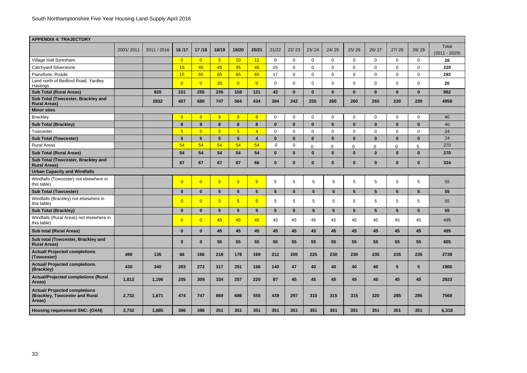| <b>APPENDIX 4: TRAJECTORY</b>                                                           |           |             |                 |                 |                 |                 |                |                 |                 |                 |                 |              |                 |                 |                 |                          |
|-----------------------------------------------------------------------------------------|-----------|-------------|-----------------|-----------------|-----------------|-----------------|----------------|-----------------|-----------------|-----------------|-----------------|--------------|-----------------|-----------------|-----------------|--------------------------|
|                                                                                         | 2001/2011 | 2011 / 2016 | 16/17           | 17/18           | 18/19           | 19/20           | 20/21          | 21/22           | 22/23           | 23/24           | 24/25           | 25/26        | 26/27           | 27/28           | 28/29           | Total<br>$(2011 - 2029)$ |
| Village Hall Syresham                                                                   |           |             | $\overline{0}$  | $\overline{0}$  | $\overline{5}$  | 10              | 11             | $\overline{0}$  | $\mathbf 0$     | 0               | 0               | 0            | 0               | $\mathbf 0$     | $\mathbf 0$     | 26                       |
| <b>Catchyard Silverstone</b>                                                            |           |             | 15              | 45              | 45              | 45              | 45             | 25              | $\Omega$        | $\Omega$        | 0               | $\Omega$     | $\mathbf{0}$    | $\mathbf 0$     | $\Omega$        | 220                      |
| Pianoforte, Roade                                                                       |           |             | 15              | 65              | 65              | 65              | 65             | 17              | $\mathbf 0$     | 0               | 0               | 0            | $\mathbf 0$     | $\mathbf 0$     | 0               | 292                      |
| Land north of Bedford Road, Yardley<br>Hastings                                         |           |             | $\overline{0}$  | $\overline{0}$  | 20              | $\overline{0}$  | $\overline{0}$ | $\overline{0}$  | $\mathbf 0$     | $\Omega$        | $\mathbf 0$     | 0            | $\mathbf 0$     | $\mathbf 0$     | $\Omega$        | 20                       |
| <b>Sub Total (Rural Areas)</b>                                                          |           | 920         | 151             | 255             | 235             | 158             | 121            | 42              | $\mathbf 0$     | $\bf{0}$        | $\mathbf{0}$    | $\mathbf{0}$ | $\mathbf{0}$    | $\mathbf{0}$    | $\mathbf{0}$    | 962                      |
| Sub Total (Towcester, Brackley and<br><b>Rural Areas)</b>                               |           | 2832        | 407             | 680             | 747             | 564             | 434            | 384             | 242             | 255             | 260             | 260          | 265             | 230             | 230             | 4958                     |
| <b>Minor sites</b>                                                                      |           |             |                 |                 |                 |                 |                |                 |                 |                 |                 |              |                 |                 |                 |                          |
| <b>Brackley</b>                                                                         |           |             | 8               | 8               | $\overline{8}$  | 8               | 8 <sup>2</sup> | $\mathbf 0$     | $\mathbf 0$     | $\overline{0}$  | 0               | 0            | $\overline{0}$  | $\overline{0}$  | $\mathbf 0$     | 40                       |
| <b>Sub Total (Brackley)</b>                                                             |           |             | 8               | 8               | 8               | 8               | 8              | $\bf{0}$        | $\mathbf{0}$    | $\bf{0}$        | $\mathbf{0}$    | $\bf{0}$     | $\bf{0}$        | $\mathbf{0}$    | $\bf{0}$        | 40                       |
| Towcester                                                                               |           |             | $5\overline{)}$ | $5\overline{5}$ | $\overline{5}$  | 5               | $\overline{4}$ | $\overline{0}$  | $\mathbf 0$     | $\Omega$        | 0               | 0            | 0               | $\mathbf 0$     | 0               | 24                       |
| <b>Sub Total (Towcester)</b>                                                            |           |             | $5\phantom{1}$  | $5\phantom{.0}$ | $5\phantom{1}$  | $5\phantom{1}$  | 4              | $\mathbf 0$     | $\mathbf{0}$    | $\bf{0}$        | $\mathbf{0}$    | $\bf{0}$     | $\mathbf{0}$    | $\mathbf{0}$    | $\mathbf{0}$    | 24                       |
| <b>Rural Areas</b>                                                                      |           |             | 54              | 54              | 54              | 54              | 54             | $\mathbf 0$     | $\mathbf 0$     | $\Omega$        | 0               | $\Omega$     | $\mathbf 0$     | 0               | $\Omega$        | 270                      |
| <b>Sub Total (Rural Areas)</b>                                                          |           |             | 54              | 54              | 54              | 54              | 54             | $\mathbf 0$     | $\bf{0}$        | $\bf{0}$        | $\bf{0}$        | $\bf{0}$     | $\bf{0}$        | $\mathbf{0}$    | $\bf{0}$        | 270                      |
| Sub Total (Towcester, Brackley and<br><b>Rural Areas)</b>                               |           |             | 67              | 67              | 67              | 67              | 66             | $\bf{0}$        | $\bf{0}$        | $\bf{0}$        | $\bf{0}$        | $\bf{0}$     | $\mathbf{0}$    | $\bf{0}$        | $\bf{0}$        | 334                      |
| <b>Urban Capacity and Windfalls</b>                                                     |           |             |                 |                 |                 |                 |                |                 |                 |                 |                 |              |                 |                 |                 |                          |
| Windfalls (Towcester) not elsewhere in<br>this table)                                   |           |             | $\overline{0}$  | $\overline{0}$  | $5\overline{5}$ | $5\overline{)}$ | 5 <sup>5</sup> | $\sqrt{5}$      | $\overline{5}$  | 5               | $\,$ 5 $\,$     | 5            | 5               | $\sqrt{5}$      | 5               | 55                       |
| <b>Sub Total (Towcester)</b>                                                            |           |             | $\mathbf{0}$    | $\mathbf{0}$    | $5\phantom{1}$  | $5\phantom{.0}$ | 5 <sup>5</sup> | 5               | $5\phantom{.0}$ | 5               | $5\phantom{.0}$ | 5            | $5\phantom{.0}$ | 5 <sup>5</sup>  | $5\phantom{1}$  | 55                       |
| Windfalls (Brackley) not elsewhere in<br>this table)                                    |           |             | $\overline{0}$  | $\overline{0}$  | $\overline{5}$  | $5\overline{)}$ | 5 <sup>5</sup> | $5\phantom{.0}$ | 5               | 5               | $5\phantom{.0}$ | 5            | 5               | $5\phantom{.0}$ | 5               | 55                       |
| <b>Sub Total (Brackley)</b>                                                             |           |             | $\mathbf 0$     | $\bf{0}$        | $5\phantom{1}$  | $5\phantom{.0}$ | 5 <sup>5</sup> | 5 <sup>5</sup>  | $5\phantom{.0}$ | $5\phantom{.0}$ | 5 <sup>5</sup>  | 5            | $5\phantom{.0}$ | $5\overline{)}$ | $5\phantom{.0}$ | 55                       |
| Windfalls (Rural Areas) not elsewhere in<br>this table)                                 |           |             | $\overline{0}$  | $\overline{0}$  | 45              | 45              | 45             | 45              | 45              | 45              | 45              | 45           | 45              | 45              | 45              | 495                      |
| <b>Sub total (Rural Areas)</b>                                                          |           |             | $\bf{0}$        | $\mathbf{0}$    | 45              | 45              | 45             | 45              | 45              | 45              | 45              | 45           | 45              | 45              | 45              | 495                      |
| Sub total (Towcester, Brackley and<br><b>Rural Areas)</b>                               |           |             | $\bf{0}$        | $\mathbf 0$     | 55              | 55              | 55             | 55              | 55              | 55              | 55              | 55           | 55              | 55              | 55              | 605                      |
| <b>Actual/ Projected completions</b><br>(Towcester)                                     | 490       | 135         | 66              | 166             | 218             | 178             | 169            | 212             | 205             | 225             | 230             | 230          | 235             | 235             | 235             | 2739                     |
| <b>Actual/ Projected completions</b><br>(Brackley)                                      | 430       | 340         | 203             | 272             | 317             | 251             | 166            | 140             | 47              | 40              | 40              | 40           | 40              | $5\phantom{.0}$ | $5\overline{)}$ | 1906                     |
| <b>Actual/Projected completions (Rural</b><br>Areas)                                    | 1,812     | 1,196       | 205             | 309             | 334             | 257             | 220            | 87              | 45              | 45              | 45              | 45           | 45              | 45              | 45              | 2923                     |
| <b>Actual/ Projected completions</b><br><b>(Brackley, Towcester and Rural</b><br>Areas) | 2,732     | 1,671       | 474             | 747             | 869             | 686             | 555            | 439             | 297             | 310             | 315             | 315          | 320             | 285             | 285             | 7568                     |
| Housing requirement SNC: (OAN)                                                          | 2,732     | 1,685       | 386             | 386             | 351             | 351             | 351            | 351             | 351             | 351             | 351             | 351          | 351             | 351             | 351             | 6,318                    |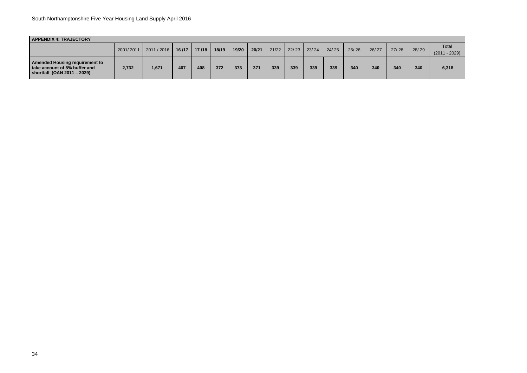| <b>APPENDIX 4: TRAJECTORY</b>                                                                                |       |                              |     |       |     |                |       |       |     |                 |       |       |       |       |       |                 |
|--------------------------------------------------------------------------------------------------------------|-------|------------------------------|-----|-------|-----|----------------|-------|-------|-----|-----------------|-------|-------|-------|-------|-------|-----------------|
|                                                                                                              |       | 2001/2011 2011 / 2016 16 /17 |     |       |     | 19/20<br>18/19 |       |       |     | $22/23$   23/24 | 24/25 | 25/26 | 26/27 | 27/28 | 28/29 | Total           |
|                                                                                                              |       |                              |     | 17/18 |     |                | 20/21 | 21/22 |     |                 |       |       |       |       |       | $(2011 - 2029)$ |
| <b>Amended Housing requirement to</b><br>take account of 5% buffer and<br><b>shortfall (OAN 2011 - 2029)</b> | 2,732 | 1,671                        | 407 | 408   | 372 | 373            | 371   | 339   | 339 | 339             | 339   | 340   | 340   | 340   | 340   | 6,318           |